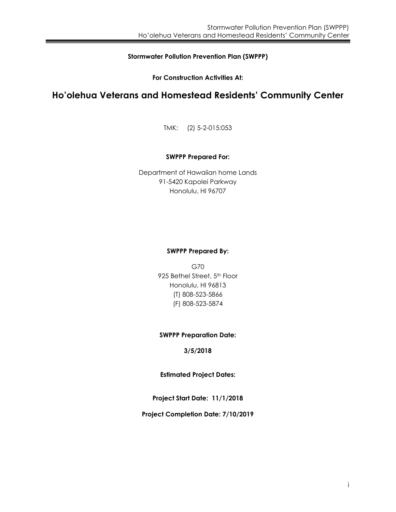## **Stormwater Pollution Prevention Plan (SWPPP)**

**For Construction Activities At:** 

# **Ho'olehua Veterans and Homestead Residents' Community Center**

TMK: (2) 5-2-015:053

## **SWPPP Prepared For:**

Department of Hawaiian home Lands 91-5420 Kapolei Parkway Honolulu, HI 96707

## **SWPPP Prepared By:**

G70 925 Bethel Street, 5th Floor Honolulu, HI 96813 (T) 808-523-5866 (F) 808-523-5874

## **SWPPP Preparation Date:**

**3/5/2018** 

**Estimated Project Dates:** 

**Project Start Date: 11/1/2018** 

**Project Completion Date: 7/10/2019**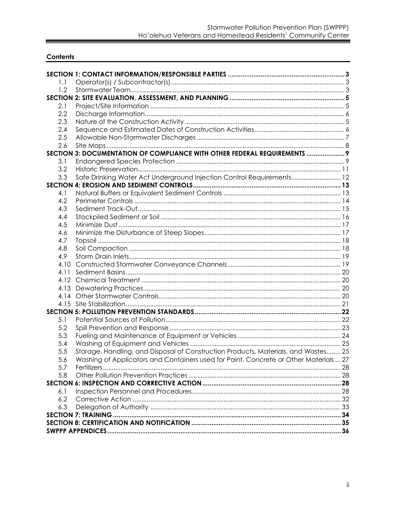## Contents

| 1.1  |                                                                                       |  |
|------|---------------------------------------------------------------------------------------|--|
| 1.2  |                                                                                       |  |
|      |                                                                                       |  |
| 2.1  |                                                                                       |  |
| 2.2  |                                                                                       |  |
| 2.3  |                                                                                       |  |
| 2.4  |                                                                                       |  |
| 2.5  |                                                                                       |  |
| 2.6  |                                                                                       |  |
|      | SECTION 3: DOCUMENTATION OF COMPLIANCE WITH OTHER FEDERAL REQUIREMENTS  9             |  |
| 3.1  |                                                                                       |  |
| 3.2  |                                                                                       |  |
| 3.3  | Safe Drinking Water Act Underground Injection Control Requirements 12                 |  |
|      |                                                                                       |  |
| 4.1  |                                                                                       |  |
| 4.2  |                                                                                       |  |
| 4.3  |                                                                                       |  |
| 4.4  |                                                                                       |  |
| 4.5  |                                                                                       |  |
| 4.6  |                                                                                       |  |
| 4.7  |                                                                                       |  |
| 4.8  |                                                                                       |  |
| 4.9  |                                                                                       |  |
| 4.10 |                                                                                       |  |
| 4.11 |                                                                                       |  |
|      |                                                                                       |  |
|      |                                                                                       |  |
|      |                                                                                       |  |
|      |                                                                                       |  |
|      |                                                                                       |  |
| 5.1  |                                                                                       |  |
| 5.2  |                                                                                       |  |
| 5.3  |                                                                                       |  |
| 5.4  |                                                                                       |  |
| 5.5  | Storage, Handling, and Disposal of Construction Products, Materials, and Wastes 25    |  |
| 5.6  | Washing of Applicators and Containers used for Paint, Concrete or Other Materials  27 |  |
| 5.7  |                                                                                       |  |
| 5.8  |                                                                                       |  |
|      |                                                                                       |  |
| 6.1  |                                                                                       |  |
| 6.2  |                                                                                       |  |
| 6.3  |                                                                                       |  |
|      |                                                                                       |  |
|      |                                                                                       |  |
|      |                                                                                       |  |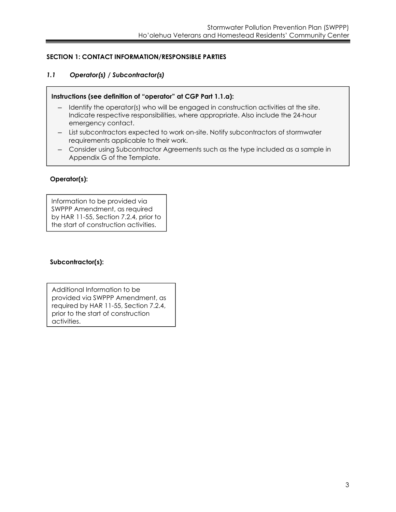## **SECTION 1: CONTACT INFORMATION/RESPONSIBLE PARTIES**

## *1.1 Operator(s) / Subcontractor(s)*

### **Instructions (see definition of "operator" at CGP Part 1.1.a):**

- ― Identify the operator(s) who will be engaged in construction activities at the site. Indicate respective responsibilities, where appropriate. Also include the 24-hour emergency contact.
- ― List subcontractors expected to work on-site. Notify subcontractors of stormwater requirements applicable to their work.
- ― Consider using Subcontractor Agreements such as the type included as a sample in Appendix G of the Template.

### **Operator(s):**

Information to be provided via SWPPP Amendment, as required by HAR 11-55, Section 7.2.4, prior to the start of construction activities.

## **Subcontractor(s):**

Additional Information to be provided via SWPPP Amendment, as required by HAR 11-55, Section 7.2.4, prior to the start of construction activities.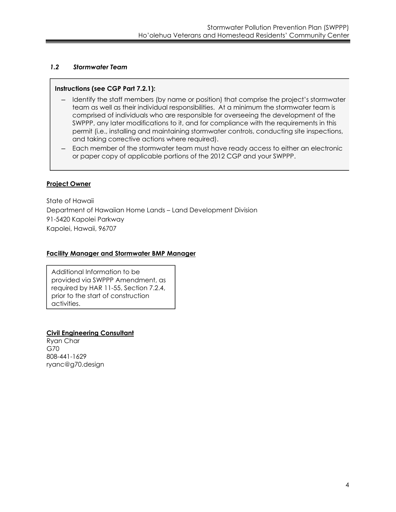## *1.2 Stormwater Team*

## **Instructions (see CGP Part 7.2.1):**

- Identify the staff members (by name or position) that comprise the project's stormwater team as well as their individual responsibilities. At a minimum the stormwater team is comprised of individuals who are responsible for overseeing the development of the SWPPP, any later modifications to it, and for compliance with the requirements in this permit (i.e., installing and maintaining stormwater controls, conducting site inspections, and taking corrective actions where required).
- ― Each member of the stormwater team must have ready access to either an electronic or paper copy of applicable portions of the 2012 CGP and your SWPPP.

## **Project Owner**

State of Hawaii Department of Hawaiian Home Lands – Land Development Division 91-5420 Kapolei Parkway Kapolei, Hawaii, 96707

## **Facility Manager and Stormwater BMP Manager**

Additional Information to be provided via SWPPP Amendment, as required by HAR 11-55, Section 7.2.4, prior to the start of construction activities.

## **Civil Engineering Consultant**

Ryan Char G70 808-441-1629 ryanc@g70.design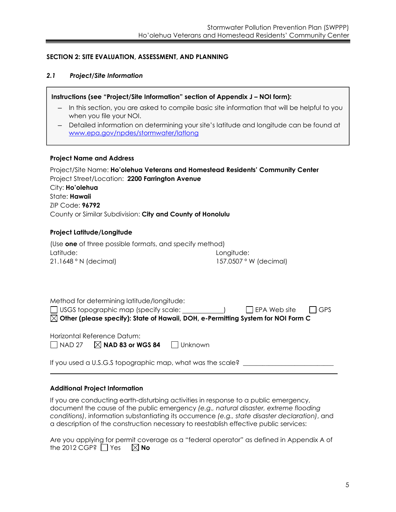### **SECTION 2: SITE EVALUATION, ASSESSMENT, AND PLANNING**

### *2.1 Project/Site Information*

| Instructions (see "Project/Site Information" section of Appendix J – NOI form):                                           |
|---------------------------------------------------------------------------------------------------------------------------|
| - In this section, you are asked to compile basic site information that will be helpful to you<br>when you file your NOI. |

― Detailed information on determining your site's latitude and longitude can be found at www.epa.gov/npdes/stormwater/latlong

### **Project Name and Address**

| Project/Site Name: Ho'olehua Veterans and Homestead Residents' Community Center |  |
|---------------------------------------------------------------------------------|--|
| Project Street/Location: 2200 Farrington Avenue                                 |  |
| City: <b>Ho'olehua</b>                                                          |  |
| State: <b>Hawaii</b>                                                            |  |
| <b>ZIP Code: 96792</b>                                                          |  |
| County or Similar Subdivision: City and County of Honolulu                      |  |

### **Project Latitude/Longitude**

| (Use <b>one</b> of three possible formats, and specify method) |                        |
|----------------------------------------------------------------|------------------------|
| Latitude:                                                      | Longitude:             |
| $21.1648$ ° N (decimal)                                        | 157.0507 ° W (decimal) |

| Method for determining latitude/longitude:                  |                                                                                              |        |
|-------------------------------------------------------------|----------------------------------------------------------------------------------------------|--------|
| $\Box$ USGS topographic map (specify scale:                 | $\Box$ EPA Web site                                                                          | l GPS. |
|                                                             | $\boxtimes$ Other (please specify): State of Hawaii, DOH, e-Permitting System for NOI Form C |        |
|                                                             |                                                                                              |        |
| Horizontal Reference Datum:                                 |                                                                                              |        |
| $\Box$ NAD 27 $\Box$ <b>NAD 83 or WGS 84</b> $\Box$ Unknown |                                                                                              |        |
|                                                             |                                                                                              |        |
| If you used a U.S.G.S topographic map, what was the scale?  |                                                                                              |        |

### **Additional Project Information**

If you are conducting earth-disturbing activities in response to a public emergency, document the cause of the public emergency *(e.g., natural disaster, extreme flooding conditions)*, information substantiating its occurrence *(e.g., state disaster declaration)*, and a description of the construction necessary to reestablish effective public services:

Are you applying for permit coverage as a "federal operator" as defined in Appendix A of the 2012 CGP?  $\Box$  Yes  $\Box$  **No**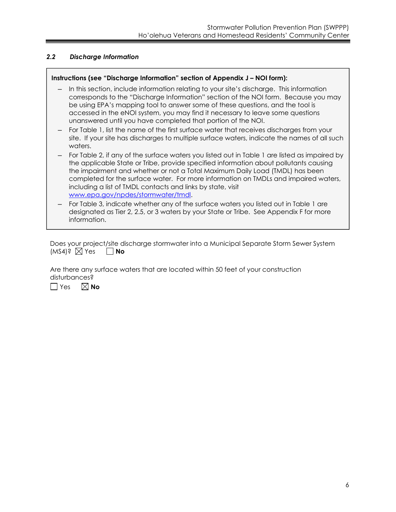## *2.2 Discharge Information*

## **Instructions (see "Discharge Information" section of Appendix J – NOI form):**

- ― In this section, include information relating to your site's discharge. This information corresponds to the "Discharge Information" section of the NOI form. Because you may be using EPA's mapping tool to answer some of these questions, and the tool is accessed in the eNOI system, you may find it necessary to leave some questions unanswered until you have completed that portion of the NOI.
- For Table 1, list the name of the first surface water that receives discharges from your site. If your site has discharges to multiple surface waters, indicate the names of all such waters.
- ― For Table 2, if any of the surface waters you listed out in Table 1 are listed as impaired by the applicable State or Tribe, provide specified information about pollutants causing the impairment and whether or not a Total Maximum Daily Load (TMDL) has been completed for the surface water. For more information on TMDLs and impaired waters, including a list of TMDL contacts and links by state, visit www.epa.gov/npdes/stormwater/tmdl.
- ― For Table 3, indicate whether any of the surface waters you listed out in Table 1 are designated as Tier 2, 2.5, or 3 waters by your State or Tribe. See Appendix F for more information.

| Does your project/site discharge stormwater into a Municipal Separate Storm Sewer System |  |  |  |
|------------------------------------------------------------------------------------------|--|--|--|
| $(MSA)$ ? $\boxtimes$ Yes $\Box$ No                                                      |  |  |  |

Are there any surface waters that are located within 50 feet of your construction disturbances?

Yes **No**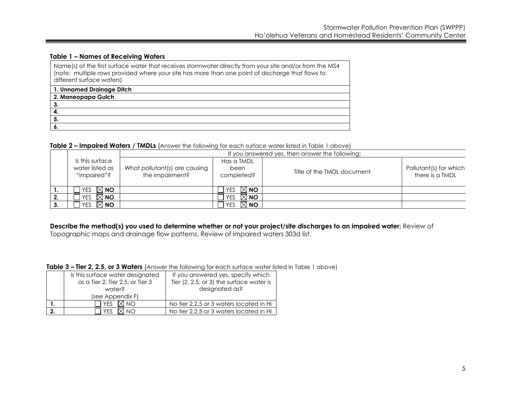#### **Table 1 – Names of Receiving Waters**

Name(s) of the first surface water that receives stormwater directly from your site and/or from the MS4 (note: multiple rows provided where your site has more than one point of discharge that flows to different surface waters)

| 1. Unnamed Drainage Ditch |  |
|---------------------------|--|
| 2. Maneopapa Gulch        |  |
| . ა.                      |  |
|                           |  |
|                           |  |
|                           |  |

#### **Table 2 – Impaired Waters / TMDLs** (Answer the following for each surface water listed in Table 1 above)

|    |                                                   |                                                  |                                  | If you answered yes, then answer the following: |                                           |
|----|---------------------------------------------------|--------------------------------------------------|----------------------------------|-------------------------------------------------|-------------------------------------------|
|    | Is this surface<br>water listed as<br>"impaired"? | What pollutant(s) are causing<br>the impairment? | Has a TMDL<br>been<br>completed? | Title of the TMDL document                      | Pollutant(s) for which<br>there is a TMDL |
|    | $\boxtimes$ NO<br>YES.                            |                                                  | $\boxtimes$ NO $\,$<br>YES       |                                                 |                                           |
| 2. | $\boxtimes$ NO<br><b>YES</b>                      |                                                  | $\boxtimes$ NO<br>YES            |                                                 |                                           |
|    | $\boxtimes$ NO $\,$<br>YES                        |                                                  | $\boxtimes$ NO<br><b>YES</b>     |                                                 |                                           |

**Describe the method(s) you used to determine whether or not your project/site discharges to an impaired water:** Review of Topographic maps and drainage flow patterns. Review of impaired waters 303d list.

#### **Table 3 – Tier 2, 2.5, or 3 Waters** (Answer the following for each surface water listed in Table 1 above)

| Is this surface water designated | If you answered yes, specify which       |
|----------------------------------|------------------------------------------|
| as a Tier 2, Tier 2.5, or Tier 3 | Tier (2, 2.5, or 3) the surface water is |
| water?                           | designated as?                           |
| (see Appendix F)                 |                                          |
| N()<br><b>YFS</b>                | No tier 2.2.5 or 3 waters located in HI  |
| NN<br>YFS.                       | No tier 2,2.5 or 3 waters located in HI  |
|                                  |                                          |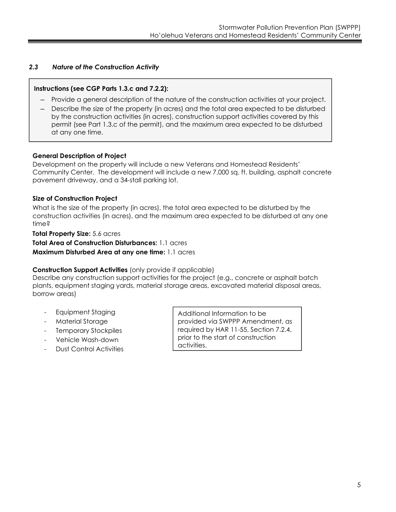## *2.3 Nature of the Construction Activity*

### **Instructions (see CGP Parts 1.3.c and 7.2.2):**

- Provide a general description of the nature of the construction activities at your project.
- ― Describe the size of the property (in acres) and the total area expected to be disturbed by the construction activities (in acres), construction support activities covered by this permit (see Part 1.3.c of the permit), and the maximum area expected to be disturbed at any one time.

### **General Description of Project**

Development on the property will include a new Veterans and Homestead Residents' Community Center. The development will include a new 7,000 sq. ft. building, asphalt concrete pavement driveway, and a 34-stall parking lot.

## **Size of Construction Project**

What is the size of the property (in acres), the total area expected to be disturbed by the construction activities (in acres), and the maximum area expected to be disturbed at any one time?

### **Total Property Size:** 5.6 acres

**Total Area of Construction Disturbances:** 1.1 acres **Maximum Disturbed Area at any one time:** 1.1 acres

## **Construction Support Activities** (only provide if applicable)

Describe any construction support activities for the project (e.g., concrete or asphalt batch plants, equipment staging yards, material storage areas, excavated material disposal areas, borrow areas)

- Equipment Staging
- Material Storage
- **Temporary Stockpiles**
- Vehicle Wash-down
- Dust Control Activities

Additional Information to be provided via SWPPP Amendment, as required by HAR 11-55, Section 7.2.4, prior to the start of construction activities.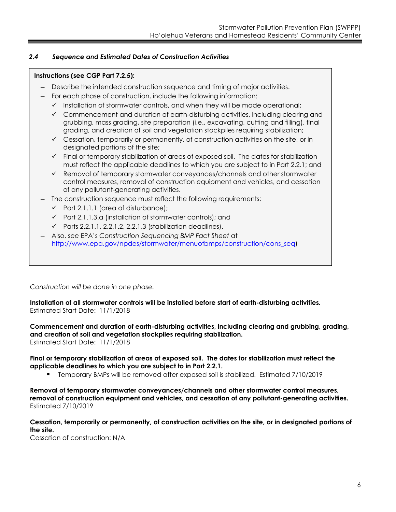## *2.4 Sequence and Estimated Dates of Construction Activities*

### **Instructions (see CGP Part 7.2.5):**

- Describe the intended construction sequence and timing of major activities.
	- For each phase of construction, include the following information:
		- $\checkmark$  Installation of stormwater controls, and when they will be made operational;
		- $\checkmark$  Commencement and duration of earth-disturbing activities, including clearing and grubbing, mass grading, site preparation (i.e., excavating, cutting and filling), final grading, and creation of soil and vegetation stockpiles requiring stabilization;
		- $\checkmark$  Cessation, temporarily or permanently, of construction activities on the site, or in designated portions of the site;
		- $\checkmark$  Final or temporary stabilization of areas of exposed soil. The dates for stabilization must reflect the applicable deadlines to which you are subject to in Part 2.2.1; and
		- $\checkmark$  Removal of temporary stormwater conveyances/channels and other stormwater control measures, removal of construction equipment and vehicles, and cessation of any pollutant-generating activities.
- The construction sequence must reflect the following requirements:
	- $\checkmark$  Part 2.1.1.1 (area of disturbance);
	- $\checkmark$  Part 2.1.1.3.a (installation of stormwater controls); and
	- $\checkmark$  Parts 2.2.1.1, 2.2.1.2, 2.2.1.3 (stabilization deadlines).
- ― Also, see EPA's *Construction Sequencing BMP Fact Sheet* at http://www.epa.gov/npdes/stormwater/menuofbmps/construction/cons\_seq)

*Construction will be done in one phase.*

**Installation of all stormwater controls will be installed before start of earth-disturbing activities.**  Estimated Start Date: 11/1/2018

**Commencement and duration of earth-disturbing activities, including clearing and grubbing, grading, and creation of soil and vegetation stockpiles requiring stabilization.**  Estimated Start Date: 11/1/2018

**Final or temporary stabilization of areas of exposed soil. The dates for stabilization must reflect the applicable deadlines to which you are subject to in Part 2.2.1.** 

Temporary BMPs will be removed after exposed soil is stabilized. Estimated 7/10/2019

**Removal of temporary stormwater conveyances/channels and other stormwater control measures, removal of construction equipment and vehicles, and cessation of any pollutant-generating activities.**  Estimated 7/10/2019

**Cessation, temporarily or permanently, of construction activities on the site, or in designated portions of the site.** 

Cessation of construction: N/A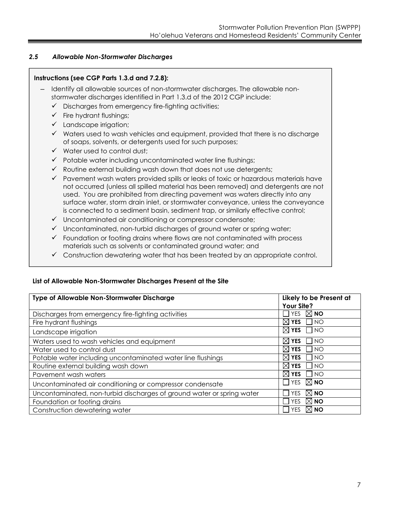## *2.5 Allowable Non-Stormwater Discharges*

### **Instructions (see CGP Parts 1.3.d and 7.2.8):**

- Identify all allowable sources of non-stormwater discharges. The allowable nonstormwater discharges identified in Part 1.3.d of the 2012 CGP include:
	- $\checkmark$  Discharges from emergency fire-fighting activities;
	- $\checkmark$  Fire hydrant flushings;
	- Landscape irrigation;
	- $\checkmark$  Waters used to wash vehicles and equipment, provided that there is no discharge of soaps, solvents, or detergents used for such purposes;
	- $\checkmark$  Water used to control dust:
	- $\checkmark$  Potable water including uncontaminated water line flushings;
	- $\checkmark$  Routine external building wash down that does not use detergents;
	- $\checkmark$  Pavement wash waters provided spills or leaks of toxic or hazardous materials have not occurred (unless all spilled material has been removed) and detergents are not used. You are prohibited from directing pavement was waters directly into any surface water, storm drain inlet, or stormwater conveyance, unless the conveyance is connected to a sediment basin, sediment trap, or similarly effective control;
	- $\checkmark$  Uncontaminated air conditioning or compressor condensate;
	- $\checkmark$  Uncontaminated, non-turbid discharges of ground water or spring water;
	- $\checkmark$  Foundation or footing drains where flows are not contaminated with process materials such as solvents or contaminated ground water; and
	- $\checkmark$  Construction dewatering water that has been treated by an appropriate control.

### **List of Allowable Non-Stormwater Discharges Present at the Site**

| <b>Type of Allowable Non-Stormwater Discharge</b>                     | Likely to be Present at      |
|-----------------------------------------------------------------------|------------------------------|
|                                                                       | Your Site?                   |
| Discharges from emergency fire-fighting activities                    | $\boxtimes$ NO<br><b>YES</b> |
| Fire hydrant flushings                                                | $\boxtimes$ YES<br>N         |
| Landscape irrigation                                                  | $\boxtimes$ YES<br>$\neg$ NO |
| Waters used to wash vehicles and equipment                            | $\boxtimes$ YES<br><b>NO</b> |
| Water used to control dust                                            | $\boxtimes$ YES<br><b>NO</b> |
| Potable water including uncontaminated water line flushings           | $\boxtimes$ YES<br><b>NO</b> |
| Routine external building wash down                                   | $\boxtimes$ YES<br><b>NO</b> |
| Pavement wash waters                                                  | $\boxtimes$ YES<br><b>NO</b> |
| Uncontaminated air conditioning or compressor condensate              | $\boxtimes$ NO<br><b>YES</b> |
| Uncontaminated, non-turbid discharges of ground water or spring water | M NO<br><b>YES</b>           |
| Foundation or footing drains                                          | M NO<br><b>YES</b>           |
| Construction dewatering water                                         | <b>YES</b><br>$\boxtimes$ NO |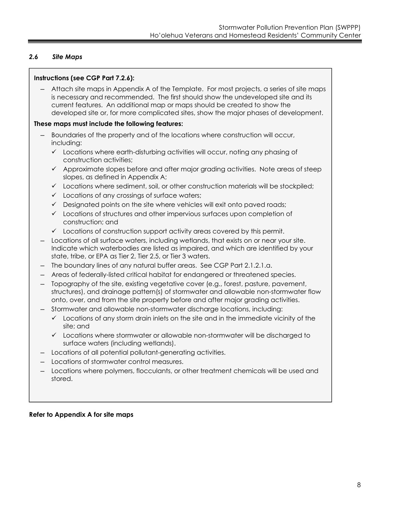## *2.6 Site Maps*

### **Instructions (see CGP Part 7.2.6):**

― Attach site maps in Appendix A of the Template. For most projects, a series of site maps is necessary and recommended. The first should show the undeveloped site and its current features. An additional map or maps should be created to show the developed site or, for more complicated sites, show the major phases of development.

### **These maps must include the following features:**

- ― Boundaries of the property and of the locations where construction will occur, including:
	- $\checkmark$  Locations where earth-disturbing activities will occur, noting any phasing of construction activities;
	- $\checkmark$  Approximate slopes before and after major grading activities. Note areas of steep slopes, as defined in Appendix A;
	- $\checkmark$  Locations where sediment, soil, or other construction materials will be stockpiled;
	- $\checkmark$  Locations of any crossings of surface waters;
	- $\checkmark$  Designated points on the site where vehicles will exit onto paved roads;
	- Locations of structures and other impervious surfaces upon completion of construction; and
	- $\checkmark$  Locations of construction support activity areas covered by this permit.
- ― Locations of all surface waters, including wetlands, that exists on or near your site. Indicate which waterbodies are listed as impaired, and which are identified by your state, tribe, or EPA as Tier 2, Tier 2.5, or Tier 3 waters.
- ― The boundary lines of any natural buffer areas. See CGP Part 2.1.2.1.a.
- ― Areas of federally-listed critical habitat for endangered or threatened species.
- ― Topography of the site, existing vegetative cover (e.g., forest, pasture, pavement, structures), and drainage pattern(s) of stormwater and allowable non-stormwater flow onto, over, and from the site property before and after major grading activities.
- ― Stormwater and allowable non-stormwater discharge locations, including:
	- $\checkmark$  Locations of any storm drain inlets on the site and in the immediate vicinity of the site; and
	- $\checkmark$  Locations where stormwater or allowable non-stormwater will be discharged to surface waters (including wetlands).
- ― Locations of all potential pollutant-generating activities.
- ― Locations of stormwater control measures.
- ― Locations where polymers, flocculants, or other treatment chemicals will be used and stored.

**Refer to Appendix A for site maps**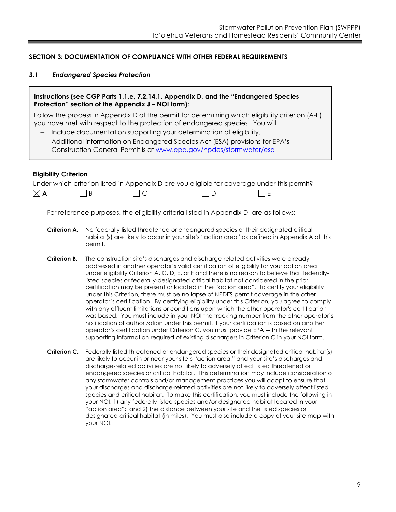### **SECTION 3: DOCUMENTATION OF COMPLIANCE WITH OTHER FEDERAL REQUIREMENTS**

### *3.1 Endangered Species Protection*

#### **Instructions (see CGP Parts 1.1.e, 7.2.14.1, Appendix D, and the "Endangered Species Protection" section of the Appendix J – NOI form):**

Follow the process in Appendix D of the permit for determining which eligibility criterion (A-E) you have met with respect to the protection of endangered species. You will

- ― Include documentation supporting your determination of eligibility.
- ― Additional information on Endangered Species Act (ESA) provisions for EPA's Construction General Permit is at www.epa.gov/npdes/stormwater/esa

### **Eligibility Criterion**

|               |          | Under which criterion listed in Appendix D are you eligible for coverage under this permit? |  |  |
|---------------|----------|---------------------------------------------------------------------------------------------|--|--|
| $\boxtimes$ A | $\Box$ B | $\prod C$                                                                                   |  |  |

For reference purposes, the eligibility criteria listed in Appendix D are as follows:

- **Criterion A.** No federally-listed threatened or endangered species or their designated critical habitat(s) are likely to occur in your site's "action area" as defined in Appendix A of this permit.
- **Criterion B.** The construction site's discharges and discharge-related activities were already addressed in another operator's valid certification of eligibility for your action area under eligibility Criterion A, C, D, E, or F and there is no reason to believe that federallylisted species or federally-designated critical habitat not considered in the prior certification may be present or located in the "action area". To certify your eligibility under this Criterion, there must be no lapse of NPDES permit coverage in the other operator's certification. By certifying eligibility under this Criterion, you agree to comply with any effluent limitations or conditions upon which the other operator's certification was based. You must include in your NOI the tracking number from the other operator's notification of authorization under this permit. If your certification is based on another operator's certification under Criterion C, you must provide EPA with the relevant supporting information required of existing dischargers in Criterion C in your NOI form.
- **Criterion C.** Federally-listed threatened or endangered species or their designated critical habitat(s) are likely to occur in or near your site's "action area," and your site's discharges and discharge-related activities are not likely to adversely affect listed threatened or endangered species or critical habitat. This determination may include consideration of any stormwater controls and/or management practices you will adopt to ensure that your discharges and discharge-related activities are not likely to adversely affect listed species and critical habitat. To make this certification, you must include the following in your NOI: 1) any federally listed species and/or designated habitat located in your "action area"; and 2) the distance between your site and the listed species or designated critical habitat (in miles). You must also include a copy of your site map with your NOI.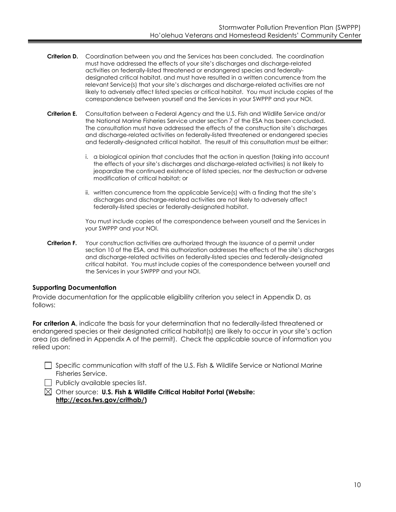- **Criterion D.** Coordination between you and the Services has been concluded. The coordination must have addressed the effects of your site's discharges and discharge-related activities on federally-listed threatened or endangered species and federallydesignated critical habitat, and must have resulted in a written concurrence from the relevant Service(s) that your site's discharges and discharge-related activities are not likely to adversely affect listed species or critical habitat. You must include copies of the correspondence between yourself and the Services in your SWPPP and your NOI.
- **Criterion E.** Consultation between a Federal Agency and the U.S. Fish and Wildlife Service and/or the National Marine Fisheries Service under section 7 of the ESA has been concluded. The consultation must have addressed the effects of the construction site's discharges and discharge-related activities on federally-listed threatened or endangered species and federally-designated critical habitat. The result of this consultation must be either:
	- i. a biological opinion that concludes that the action in question (taking into account the effects of your site's discharges and discharge-related activities) is not likely to jeopardize the continued existence of listed species, nor the destruction or adverse modification of critical habitat; or
	- ii. written concurrence from the applicable Service(s) with a finding that the site's discharges and discharge-related activities are not likely to adversely affect federally-listed species or federally-designated habitat.

You must include copies of the correspondence between yourself and the Services in your SWPPP and your NOI.

**Criterion F.** Your construction activities are authorized through the issuance of a permit under section 10 of the ESA, and this authorization addresses the effects of the site's discharges and discharge-related activities on federally-listed species and federally-designated critical habitat. You must include copies of the correspondence between yourself and the Services in your SWPPP and your NOI.

## **Supporting Documentation**

Provide documentation for the applicable eligibility criterion you select in Appendix D, as follows:

For criterion A, indicate the basis for your determination that no federally-listed threatened or endangered species or their designated critical habitat(s) are likely to occur in your site's action area (as defined in Appendix A of the permit). Check the applicable source of information you relied upon:

 $\Box$  Specific communication with staff of the U.S. Fish & Wildlife Service or National Marine Fisheries Service.

 $\Box$  Publicly available species list.

 Other source: **U.S. Fish & Wildlife Critical Habitat Portal (Website: http://ecos.fws.gov/crithab/)**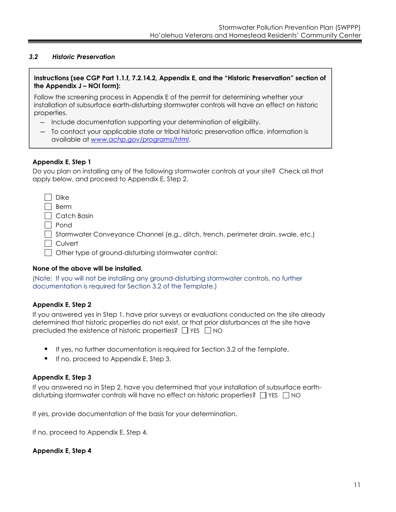### *3.2 Historic Preservation*

### **Instructions (see CGP Part 1.1.f, 7.2.14.2, Appendix E, and the "Historic Preservation" section of the Appendix J – NOI form):**

Follow the screening process in Appendix E of the permit for determining whether your installation of subsurface earth-disturbing stormwater controls will have an effect on historic properties.

- ― Include documentation supporting your determination of eligibility.
- ― To contact your applicable state or tribal historic preservation office, information is available at *www.achp.gov/programs/html*.

### **Appendix E, Step 1**

Do you plan on installing any of the following stormwater controls at your site? Check all that apply below, and proceed to Appendix E, Step 2.

| Dike                                                                              |
|-----------------------------------------------------------------------------------|
| <b>Berm</b>                                                                       |
| <b>Catch Basin</b>                                                                |
| Pond                                                                              |
| Stormwater Conveyance Channel (e.g., ditch, trench, perimeter drain, swale, etc.) |
| Culvert                                                                           |
| Other type of ground-disturbing stormwater control:                               |

### **None of the above will be installed.**

(Note: If you will not be installing any ground-disturbing stormwater controls, no further documentation is required for Section 3.2 of the Template.)

### **Appendix E, Step 2**

If you answered yes in Step 1, have prior surveys or evaluations conducted on the site already determined that historic properties do not exist, or that prior disturbances at the site have precluded the existence of historic properties?  $\Box$  YES  $\Box$  NO

- If yes, no further documentation is required for Section 3.2 of the Template.
- If no, proceed to Appendix E, Step 3.

### **Appendix E, Step 3**

If you answered no in Step 2, have you determined that your installation of subsurface earthdisturbing stormwater controls will have no effect on historic properties?  $\Box$  YES  $\Box$  NO

If yes, provide documentation of the basis for your determination.

If no, proceed to Appendix E, Step 4.

**Appendix E, Step 4**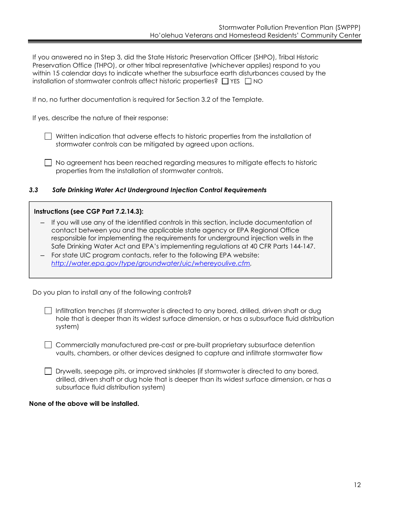If you answered no in Step 3, did the State Historic Preservation Officer (SHPO), Tribal Historic Preservation Office (THPO), or other tribal representative (whichever applies) respond to you within 15 calendar days to indicate whether the subsurface earth disturbances caused by the installation of stormwater controls affect historic properties?  $\Box$  YES  $\Box$  NO

If no, no further documentation is required for Section 3.2 of the Template.

If yes, describe the nature of their response:

- $\Box$  Written indication that adverse effects to historic properties from the installation of stormwater controls can be mitigated by agreed upon actions.
- $\Box$  No agreement has been reached regarding measures to mitigate effects to historic properties from the installation of stormwater controls.

## *3.3 Safe Drinking Water Act Underground Injection Control Requirements*

### **Instructions (see CGP Part 7.2.14.3):**

- If you will use any of the identified controls in this section, include documentation of contact between you and the applicable state agency or EPA Regional Office responsible for implementing the requirements for underground injection wells in the Safe Drinking Water Act and EPA's implementing regulations at 40 CFR Parts 144-147.
- For state UIC program contacts, refer to the following EPA website: *http://water.epa.gov/type/groundwater/uic/whereyoulive.cfm.*

Do you plan to install any of the following controls?

Infiltration trenches (if stormwater is directed to any bored, drilled, driven shaft or dug hole that is deeper than its widest surface dimension, or has a subsurface fluid distribution system)

 Commercially manufactured pre-cast or pre-built proprietary subsurface detention vaults, chambers, or other devices designed to capture and infiltrate stormwater flow

 $\Box$  Drywells, seepage pits, or improved sinkholes (if stormwater is directed to any bored, drilled, driven shaft or dug hole that is deeper than its widest surface dimension, or has a subsurface fluid distribution system)

### **None of the above will be installed.**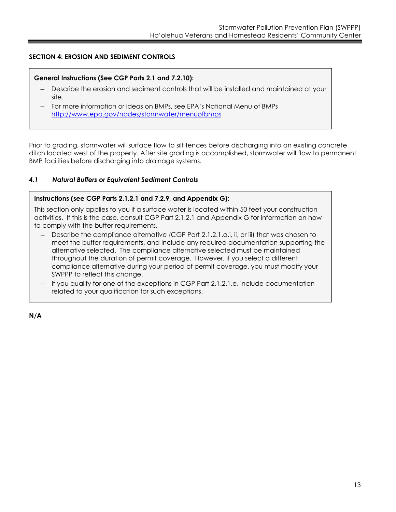## **SECTION 4: EROSION AND SEDIMENT CONTROLS**

### **General Instructions (See CGP Parts 2.1 and 7.2.10):**

- Describe the erosion and sediment controls that will be installed and maintained at your site.
- For more information or ideas on BMPs, see EPA's National Menu of BMPs http://www.epa.gov/npdes/stormwater/menuofbmps

Prior to grading, stormwater will surface flow to silt fences before discharging into an existing concrete ditch located west of the property. After site grading is accomplished, stormwater will flow to permanent BMP facilities before discharging into drainage systems.

### *4.1 Natural Buffers or Equivalent Sediment Controls*

### **Instructions (see CGP Parts 2.1.2.1 and 7.2.9, and Appendix G):**

This section only applies to you if a surface water is located within 50 feet your construction activities. If this is the case, consult CGP Part 2.1.2.1 and Appendix G for information on how to comply with the buffer requirements.

- ― Describe the compliance alternative (CGP Part 2.1.2.1.a.i, ii, or iii) that was chosen to meet the buffer requirements, and include any required documentation supporting the alternative selected. The compliance alternative selected must be maintained throughout the duration of permit coverage. However, if you select a different compliance alternative during your period of permit coverage, you must modify your SWPPP to reflect this change.
- If you qualify for one of the exceptions in CGP Part 2.1.2.1.e, include documentation related to your qualification for such exceptions.

**N/A**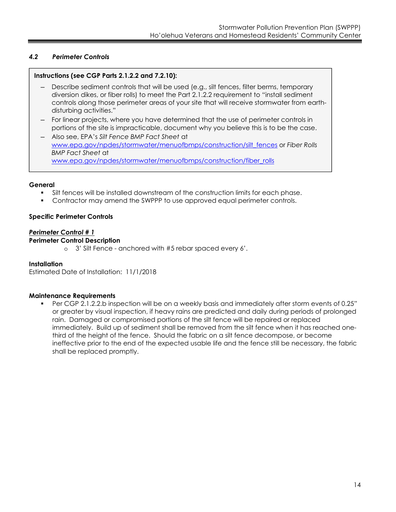## *4.2 Perimeter Controls*

### **Instructions (see CGP Parts 2.1.2.2 and 7.2.10):**

- Describe sediment controls that will be used (e.g., silt fences, filter berms, temporary diversion dikes, or fiber rolls) to meet the Part 2.1.2.2 requirement to "install sediment controls along those perimeter areas of your site that will receive stormwater from earthdisturbing activities."
- For linear projects, where you have determined that the use of perimeter controls in portions of the site is impracticable, document why you believe this is to be the case.
- ― Also see, EPA's *Silt Fence BMP Fact Sheet* at www.epa.gov/npdes/stormwater/menuofbmps/construction/silt\_fences or *Fiber Rolls BMP Fact Sheet* at www.epa.gov/npdes/stormwater/menuofbmps/construction/fiber\_rolls

### **General**

- Silt fences will be installed downstream of the construction limits for each phase.
- Contractor may amend the SWPPP to use approved equal perimeter controls.

### **Specific Perimeter Controls**

### *Perimeter Control # 1*

### **Perimeter Control Description**

o 3' Silt Fence - anchored with #5 rebar spaced every 6'.

### **Installation**

Estimated Date of Installation: 11/1/2018

### **Maintenance Requirements**

 Per CGP 2.1.2.2.b inspection will be on a weekly basis and immediately after storm events of 0.25" or greater by visual inspection, if heavy rains are predicted and daily during periods of prolonged rain. Damaged or compromised portions of the silt fence will be repaired or replaced immediately. Build up of sediment shall be removed from the silt fence when it has reached onethird of the height of the fence. Should the fabric on a silt fence decompose, or become ineffective prior to the end of the expected usable life and the fence still be necessary, the fabric shall be replaced promptly.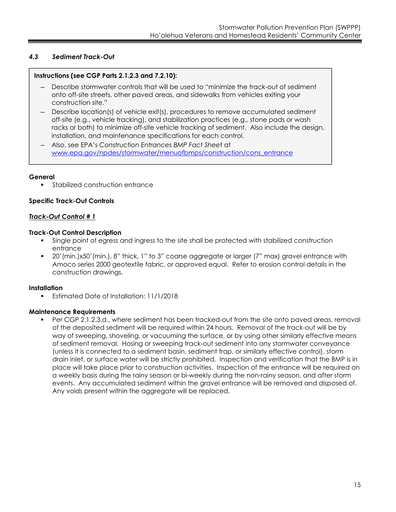## *4.3 Sediment Track-Out*

### **Instructions (see CGP Parts 2.1.2.3 and 7.2.10):**

- ― Describe stormwater controls that will be used to "minimize the track-out of sediment onto off-site streets, other paved areas, and sidewalks from vehicles exiting your construction site."
- Describe location(s) of vehicle exit(s), procedures to remove accumulated sediment off-site (e.g., vehicle tracking), and stabilization practices (e.g., stone pads or wash racks or both) to minimize off-site vehicle tracking of sediment. Also include the design, installation, and maintenance specifications for each control.
- ― Also, see EPA's *Construction Entrances BMP Fact Shee*t at www.epa.gov/npdes/stormwater/menuofbmps/construction/cons\_entrance

### **General**

Stabilized construction entrance

### **Specific Track-Out Controls**

### *Track-Out Control # 1*

### **Track-Out Control Description**

- Single point of egress and ingress to the site shall be protected with stabilized construction entrance
- 20'(min.)x50'(min.), 8" thick, 1" to 3" coarse aggregate or larger (7" max) gravel entrance with Amoco series 2000 geotextile fabric, or approved equal. Refer to erosion control details in the construction drawings.

### **Installation**

Estimated Date of Installation: 11/1/2018

### **Maintenance Requirements**

 Per CGP 2.1.2.3.d., where sediment has been tracked-out from the site onto paved areas, removal of the deposited sediment will be required within 24 hours. Removal of the track-out will be by way of sweeping, shoveling, or vacuuming the surface, or by using other similarly effective means of sediment removal. Hosing or sweeping track-out sediment into any stormwater conveyance (unless it is connected to a sediment basin, sediment trap, or similarly effective control), storm drain inlet, or surface water will be strictly prohibited. Inspection and verification that the BMP is in place will take place prior to construction activities. Inspection of the entrance will be required on a weekly basis during the rainy season or bi-weekly during the non-rainy season, and after storm events. Any accumulated sediment within the gravel entrance will be removed and disposed of. Any voids present within the aggregate will be replaced.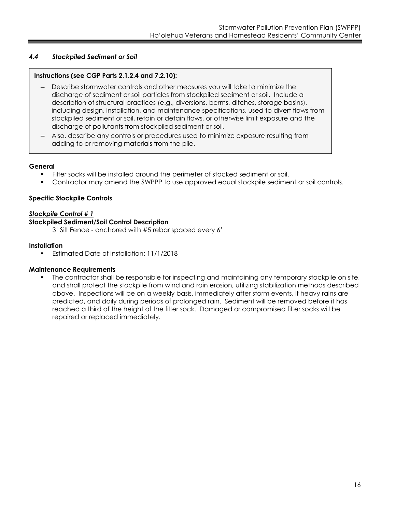## *4.4 Stockpiled Sediment or Soil*

## **Instructions (see CGP Parts 2.1.2.4 and 7.2.10):**

- Describe stormwater controls and other measures you will take to minimize the discharge of sediment or soil particles from stockpiled sediment or soil. Include a description of structural practices (e.g., diversions, berms, ditches, storage basins), including design, installation, and maintenance specifications, used to divert flows from stockpiled sediment or soil, retain or detain flows, or otherwise limit exposure and the discharge of pollutants from stockpiled sediment or soil.
- ― Also, describe any controls or procedures used to minimize exposure resulting from adding to or removing materials from the pile.

## **General**

- Filter socks will be installed around the perimeter of stocked sediment or soil.
- Contractor may amend the SWPPP to use approved equal stockpile sediment or soil controls.

## **Specific Stockpile Controls**

## *Stockpile Control # 1*

## **Stockpiled Sediment/Soil Control Description**

3' Silt Fence - anchored with #5 rebar spaced every 6'

### **Installation**

**Estimated Date of installation: 11/1/2018** 

## **Maintenance Requirements**

 The contractor shall be responsible for inspecting and maintaining any temporary stockpile on site, and shall protect the stockpile from wind and rain erosion, utilizing stabilization methods described above. Inspections will be on a weekly basis, immediately after storm events, if heavy rains are predicted, and daily during periods of prolonged rain. Sediment will be removed before it has reached a third of the height of the filter sock. Damaged or compromised filter socks will be repaired or replaced immediately.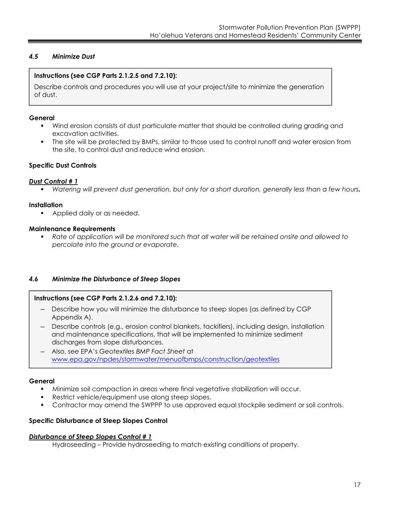## *4.5 Minimize Dust*

### **Instructions (see CGP Parts 2.1.2.5 and 7.2.10):**

Describe controls and procedures you will use at your project/site to minimize the generation of dust.

### **General**

- Wind erosion consists of dust particulate matter that should be controlled during grading and excavation activities.
- The site will be protected by BMPs, similar to those used to control runoff and water erosion from the site, to control dust and reduce wind erosion.

### **Specific Dust Controls**

### *Dust Control # 1*

*Watering will prevent dust generation, but only for a short duration, generally less than a few hours.* 

### **Installation**

**Applied daily or as needed.** 

### **Maintenance Requirements**

 *Rate of application will be monitored such that all water will be retained onsite and allowed to percolate into the ground or evaporate.* 

### *4.6 Minimize the Disturbance of Steep Slopes*

### **Instructions (see CGP Parts 2.1.2.6 and 7.2.10):**

- Describe how you will minimize the disturbance to steep slopes (as defined by CGP Appendix A).
- Describe controls (e.g., erosion control blankets, tackifiers), including design, installation and maintenance specifications, that will be implemented to minimize sediment discharges from slope disturbances.
- ― Also, see EPA's *Geotextiles BMP Fact Sheet* at www.epa.gov/npdes/stormwater/menuofbmps/construction/geotextiles

### **General**

- Minimize soil compaction in areas where final vegetative stabilization will occur.
- Restrict vehicle/equipment use along steep slopes.
- Contractor may amend the SWPPP to use approved equal stockpile sediment or soil controls.

### **Specific Disturbance of Steep Slopes Control**

### *Disturbance of Steep Slopes Control # 1*

Hydroseeding – Provide hydroseeding to match existing conditions of property.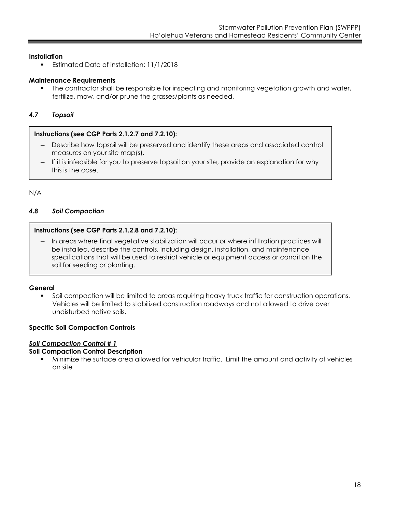### **Installation**

**Estimated Date of installation: 11/1/2018** 

### **Maintenance Requirements**

 The contractor shall be responsible for inspecting and monitoring vegetation growth and water, fertilize, mow, and/or prune the grasses/plants as needed.

## *4.7 Topsoil*

## **Instructions (see CGP Parts 2.1.2.7 and 7.2.10):**

- ― Describe how topsoil will be preserved and identify these areas and associated control measures on your site map(s).
- If it is infeasible for you to preserve topsoil on your site, provide an explanation for why this is the case.

N/A

## *4.8 Soil Compaction*

### **Instructions (see CGP Parts 2.1.2.8 and 7.2.10):**

― In areas where final vegetative stabilization will occur or where infiltration practices will be installed, describe the controls, including design, installation, and maintenance specifications that will be used to restrict vehicle or equipment access or condition the soil for seeding or planting.

### **General**

 Soil compaction will be limited to areas requiring heavy truck traffic for construction operations. Vehicles will be limited to stabilized construction roadways and not allowed to drive over undisturbed native soils.

### **Specific Soil Compaction Controls**

## *Soil Compaction Control # 1*

### **Soil Compaction Control Description**

 Minimize the surface area allowed for vehicular traffic. Limit the amount and activity of vehicles on site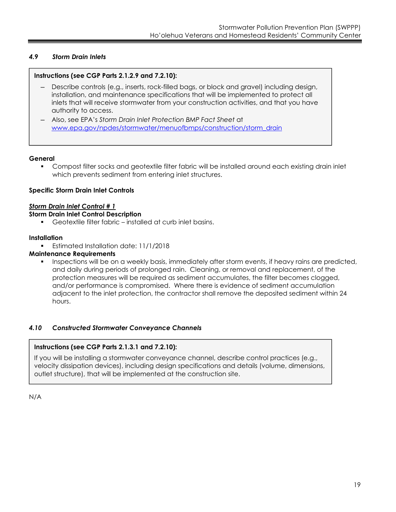## *4.9 Storm Drain Inlets*

## **Instructions (see CGP Parts 2.1.2.9 and 7.2.10):**

- Describe controls (e.g., inserts, rock-filled bags, or block and gravel) including design, installation, and maintenance specifications that will be implemented to protect all inlets that will receive stormwater from your construction activities, and that you have authority to access.
- ― Also, see EPA's *Storm Drain Inlet Protection BMP Fact Sheet* at www.epa.gov/npdes/stormwater/menuofbmps/construction/storm\_drain

### **General**

 Compost filter socks and geotextile filter fabric will be installed around each existing drain inlet which prevents sediment from entering inlet structures.

### **Specific Storm Drain Inlet Controls**

### *Storm Drain Inlet Control # 1*

### **Storm Drain Inlet Control Description**

Geotextile filter fabric – installed at curb inlet basins.

### **Installation**

**Estimated Installation date: 11/1/2018** 

### **Maintenance Requirements**

 Inspections will be on a weekly basis, immediately after storm events, if heavy rains are predicted, and daily during periods of prolonged rain. Cleaning, or removal and replacement, of the protection measures will be required as sediment accumulates, the filter becomes clogged, and/or performance is compromised. Where there is evidence of sediment accumulation adjacent to the inlet protection, the contractor shall remove the deposited sediment within 24 hours.

### *4.10 Constructed Stormwater Conveyance Channels*

## **Instructions (see CGP Parts 2.1.3.1 and 7.2.10):**

If you will be installing a stormwater conveyance channel, describe control practices (e.g., velocity dissipation devices), including design specifications and details (volume, dimensions, outlet structure), that will be implemented at the construction site.

N/A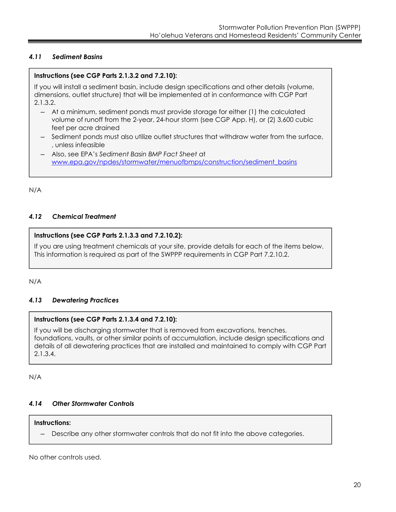## *4.11 Sediment Basins*

## **Instructions (see CGP Parts 2.1.3.2 and 7.2.10):**

If you will install a sediment basin, include design specifications and other details (volume, dimensions, outlet structure) that will be implemented at in conformance with CGP Part 2.1.3.2.

- ― At a minimum, sediment ponds must provide storage for either (1) the calculated volume of runoff from the 2-year, 24-hour storm (see CGP App. H), or (2) 3,600 cubic feet per acre drained
- Sediment ponds must also utilize outlet structures that withdraw water from the surface, , unless infeasible
- ― Also, see EPA's *Sediment Basin BMP Fact Sheet* at www.epa.gov/npdes/stormwater/menuofbmps/construction/sediment\_basins

N/A

## *4.12 Chemical Treatment*

## **Instructions (see CGP Parts 2.1.3.3 and 7.2.10.2):**

If you are using treatment chemicals at your site, provide details for each of the items below. This information is required as part of the SWPPP requirements in CGP Part 7.2.10.2.

N/A

## *4.13 Dewatering Practices*

## **Instructions (see CGP Parts 2.1.3.4 and 7.2.10):**

If you will be discharging stormwater that is removed from excavations, trenches, foundations, vaults, or other similar points of accumulation, include design specifications and details of all dewatering practices that are installed and maintained to comply with CGP Part 2.1.3.4.

N/A

## *4.14 Other Stormwater Controls*

### **Instructions:**

Describe any other stormwater controls that do not fit into the above categories.

No other controls used.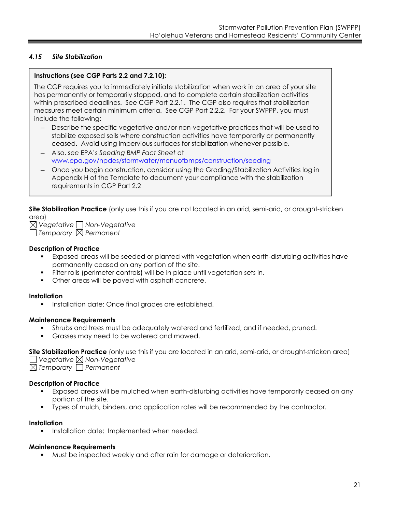## *4.15 Site Stabilization*

### **Instructions (see CGP Parts 2.2 and 7.2.10):**

The CGP requires you to immediately initiate stabilization when work in an area of your site has permanently or temporarily stopped, and to complete certain stabilization activities within prescribed deadlines. See CGP Part 2.2.1. The CGP also requires that stabilization measures meet certain minimum criteria. See CGP Part 2.2.2. For your SWPPP, you must include the following:

- ― Describe the specific vegetative and/or non-vegetative practices that will be used to stabilize exposed soils where construction activities have temporarily or permanently ceased. Avoid using impervious surfaces for stabilization whenever possible.
- ― Also, see EPA's *Seeding BMP Fact Sheet* at www.epa.gov/npdes/stormwater/menuofbmps/construction/seeding
- ― Once you begin construction, consider using the Grading/Stabilization Activities log in Appendix H of the Template to document your compliance with the stabilization requirements in CGP Part 2.2

**Site Stabilization Practice** (only use this if you are not located in an arid, semi-arid, or drought-stricken area)

*Vegetative Non-Vegetative* 

*Temporary Permanent* 

### **Description of Practice**

- Exposed areas will be seeded or planted with vegetation when earth-disturbing activities have permanently ceased on any portion of the site.
- Filter rolls (perimeter controls) will be in place until vegetation sets in.
- Other areas will be paved with asphalt concrete.

### **Installation**

Installation date: Once final grades are established.

### **Maintenance Requirements**

- Shrubs and trees must be adequately watered and fertilized, and if needed, pruned.
- Grasses may need to be watered and mowed.

**Site Stabilization Practice** (only use this if you are located in an arid, semi-arid, or drought-stricken area)

*Vegetative Non-Vegetative* 

*Temporary Permanent* 

## **Description of Practice**

- Exposed areas will be mulched when earth-disturbing activities have temporarily ceased on any portion of the site.
- Types of mulch, binders, and application rates will be recommended by the contractor.

### **Installation**

**Installation date: Implemented when needed.** 

## **Maintenance Requirements**

Must be inspected weekly and after rain for damage or deterioration.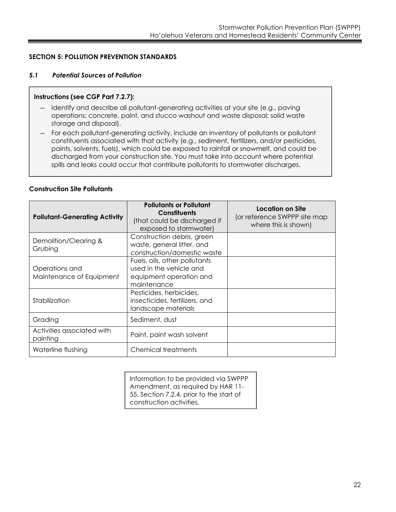### **SECTION 5: POLLUTION PREVENTION STANDARDS**

### *5.1 Potential Sources of Pollution*

### **Instructions (see CGP Part 7.2.7):**

- ― Identify and describe all pollutant-generating activities at your site (e.g., paving operations; concrete, paint, and stucco washout and waste disposal; solid waste storage and disposal).
- ― For each pollutant-generating activity, include an inventory of pollutants or pollutant constituents associated with that activity (e.g., sediment, fertilizers, and/or pesticides, paints, solvents, fuels), which could be exposed to rainfall or snowmelt, and could be discharged from your construction site. You must take into account where potential spills and leaks could occur that contribute pollutants to stormwater discharges.

| <b>Pollutant-Generating Activity</b>       | <b>Pollutants or Pollutant</b><br><b>Constituents</b><br>(that could be discharged if<br>exposed to stormwater) | Location on Site<br>(or reference SWPPP site map<br>where this is shown) |
|--------------------------------------------|-----------------------------------------------------------------------------------------------------------------|--------------------------------------------------------------------------|
| Demolition/Clearing &<br>Grubing           | Construction debris, green<br>waste, general litter, and<br>construction/domestic waste                         |                                                                          |
| Operations and<br>Maintenance of Equipment | Fuels, oils, other pollutants<br>used in the vehicle and<br>equipment operation and<br>maintenance              |                                                                          |
| Stabilization                              | Pesticides, herbicides,<br>insecticides, fertilizers, and<br>landscape materials                                |                                                                          |
| Grading                                    | Sediment, dust                                                                                                  |                                                                          |
| Activities associated with<br>painting     | Paint, paint wash solvent                                                                                       |                                                                          |
| Waterline flushing                         | <b>Chemical treatments</b>                                                                                      |                                                                          |

#### **Construction Site Pollutants**

Information to be provided via SWPPP Amendment, as required by HAR 11- 55, Section 7.2.4, prior to the start of construction activities.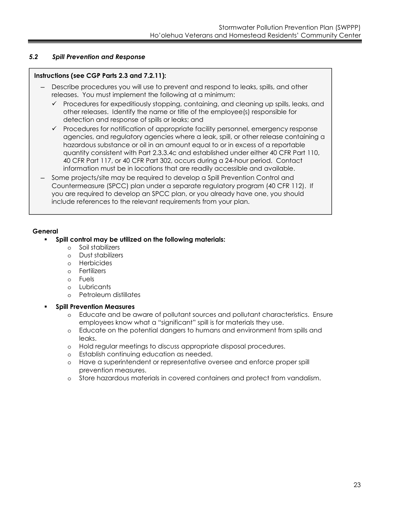## *5.2 Spill Prevention and Response*

### **Instructions (see CGP Parts 2.3 and 7.2.11):**

- ― Describe procedures you will use to prevent and respond to leaks, spills, and other releases. You must implement the following at a minimum:
	- $\checkmark$  Procedures for expeditiously stopping, containing, and cleaning up spills, leaks, and other releases. Identify the name or title of the employee(s) responsible for detection and response of spills or leaks; and
	- $\checkmark$  Procedures for notification of appropriate facility personnel, emergency response agencies, and regulatory agencies where a leak, spill, or other release containing a hazardous substance or oil in an amount equal to or in excess of a reportable quantity consistent with Part 2.3.3.4c and established under either 40 CFR Part 110, 40 CFR Part 117, or 40 CFR Part 302, occurs during a 24-hour period. Contact information must be in locations that are readily accessible and available.
- Some projects/site may be required to develop a Spill Prevention Control and Countermeasure (SPCC) plan under a separate regulatory program (40 CFR 112). If you are required to develop an SPCC plan, or you already have one, you should include references to the relevant requirements from your plan.

### **General**

- **Spill control may be utilized on the following materials:** 
	- o Soil stabilizers
	- o Dust stabilizers
	- o Herbicides
	- o Fertilizers
	- o Fuels
	- o Lubricants
	- o Petroleum distillates

### **Spill Prevention Measures**

- o Educate and be aware of pollutant sources and pollutant characteristics. Ensure employees know what a "significant" spill is for materials they use.
- o Educate on the potential dangers to humans and environment from spills and leaks.
- o Hold regular meetings to discuss appropriate disposal procedures.
- o Establish continuing education as needed.
- o Have a superintendent or representative oversee and enforce proper spill prevention measures.
- o Store hazardous materials in covered containers and protect from vandalism.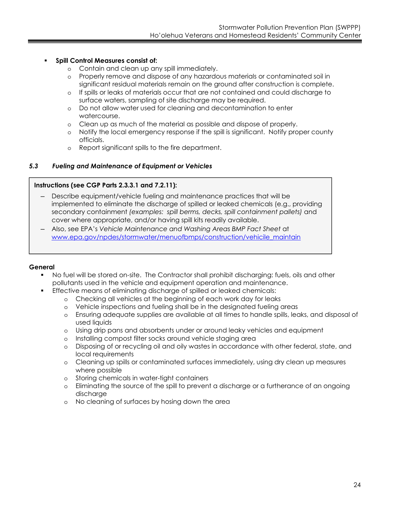## **Spill Control Measures consist of:**

- o Contain and clean up any spill immediately.
- o Properly remove and dispose of any hazardous materials or contaminated soil in significant residual materials remain on the ground after construction is complete.
- o If spills or leaks of materials occur that are not contained and could discharge to surface waters, sampling of site discharge may be required.
- o Do not allow water used for cleaning and decontamination to enter watercourse.
- o Clean up as much of the material as possible and dispose of properly.
- o Notify the local emergency response if the spill is significant. Notify proper county officials.
- o Report significant spills to the fire department.

## *5.3 Fueling and Maintenance of Equipment or Vehicles*

### **Instructions (see CGP Parts 2.3.3.1 and 7.2.11):**

- ― Describe equipment/vehicle fueling and maintenance practices that will be implemented to eliminate the discharge of spilled or leaked chemicals (e.g., providing secondary containment *(examples: spill berms, decks, spill containment pallets)* and cover where appropriate, and/or having spill kits readily available.
- ― Also, see EPA's *Vehicle Maintenance and Washing Areas BMP Fact Sheet* at www.epa.gov/npdes/stormwater/menuofbmps/construction/vehicile\_maintain

### **General**

- No fuel will be stored on-site. The Contractor shall prohibit discharging: fuels, oils and other pollutants used in the vehicle and equipment operation and maintenance.
- Effective means of eliminating discharge of spilled or leaked chemicals:
	- o Checking all vehicles at the beginning of each work day for leaks
	- o Vehicle inspections and fueling shall be in the designated fueling areas
	- o Ensuring adequate supplies are available at all times to handle spills, leaks, and disposal of used liquids
	- o Using drip pans and absorbents under or around leaky vehicles and equipment
	- o Installing compost filter socks around vehicle staging area
	- o Disposing of or recycling oil and oily wastes in accordance with other federal, state, and local requirements
	- o Cleaning up spills or contaminated surfaces immediately, using dry clean up measures where possible
	- o Storing chemicals in water-tight containers
	- o Eliminating the source of the spill to prevent a discharge or a furtherance of an ongoing discharge
	- o No cleaning of surfaces by hosing down the area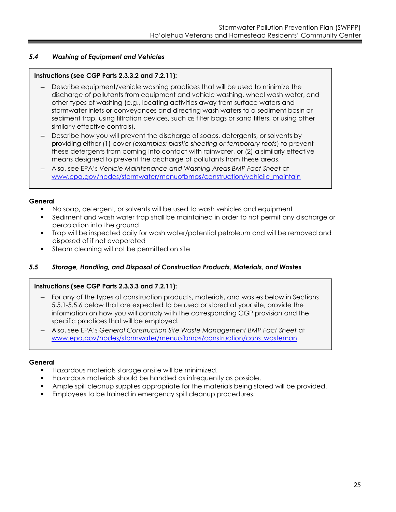### *5.4 Washing of Equipment and Vehicles*

### **Instructions (see CGP Parts 2.3.3.2 and 7.2.11):**

- ― Describe equipment/vehicle washing practices that will be used to minimize the discharge of pollutants from equipment and vehicle washing, wheel wash water, and other types of washing (e.g., locating activities away from surface waters and stormwater inlets or conveyances and directing wash waters to a sediment basin or sediment trap, using filtration devices, such as filter bags or sand filters, or using other similarly effective controls).
- Describe how you will prevent the discharge of soaps, detergents, or solvents by providing either (1) cover (*examples: plastic sheeting or temporary roofs*) to prevent these detergents from coming into contact with rainwater, or (2) a similarly effective means designed to prevent the discharge of pollutants from these areas.
- ― Also, see EPA's *Vehicle Maintenance and Washing Areas BMP Fact Sheet* at www.epa.gov/npdes/stormwater/menuofbmps/construction/vehicile\_maintain

#### **General**

- No soap, detergent, or solvents will be used to wash vehicles and equipment
- Sediment and wash water trap shall be maintained in order to not permit any discharge or percolation into the ground
- Trap will be inspected daily for wash water/potential petroleum and will be removed and disposed of if not evaporated
- **Steam cleaning will not be permitted on site**

### *5.5 Storage, Handling, and Disposal of Construction Products, Materials, and Wastes*

### **Instructions (see CGP Parts 2.3.3.3 and 7.2.11):**

- For any of the types of construction products, materials, and wastes below in Sections 5.5.1-5.5.6 below that are expected to be used or stored at your site, provide the information on how you will comply with the corresponding CGP provision and the specific practices that will be employed.
- ― Also, see EPA's *General Construction Site Waste Management BMP Fact Sheet* at www.epa.gov/npdes/stormwater/menuofbmps/construction/cons\_wasteman

### **General**

- Hazardous materials storage onsite will be minimized.
- Hazardous materials should be handled as infrequently as possible.
- Ample spill cleanup supplies appropriate for the materials being stored will be provided.
- Employees to be trained in emergency spill cleanup procedures.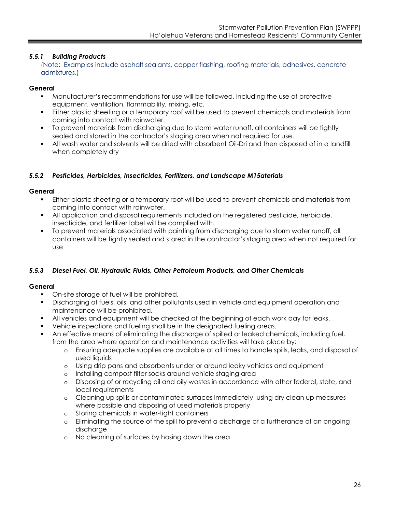## *5.5.1 Building Products*

(Note: Examples include asphalt sealants, copper flashing, roofing materials, adhesives, concrete admixtures.)

## **General**

- Manufacturer's recommendations for use will be followed, including the use of protective equipment, ventilation, flammability, mixing, etc.
- Either plastic sheeting or a temporary roof will be used to prevent chemicals and materials from coming into contact with rainwater.
- To prevent materials from discharging due to storm water runoff, all containers will be tightly sealed and stored in the contractor's staging area when not required for use.
- All wash water and solvents will be dried with absorbent Oil-Dri and then disposed of in a landfill when completely dry

## *5.5.2 Pesticides, Herbicides, Insecticides, Fertilizers, and Landscape M15aterials*

### **General**

- Either plastic sheeting or a temporary roof will be used to prevent chemicals and materials from coming into contact with rainwater.
- All application and disposal requirements included on the registered pesticide, herbicide, insecticide, and fertilizer label will be complied with.
- To prevent materials associated with painting from discharging due to storm water runoff, all containers will be tightly sealed and stored in the contractor's staging area when not required for use

## *5.5.3 Diesel Fuel, Oil, Hydraulic Fluids, Other Petroleum Products, and Other Chemicals*

### **General**

- On-site storage of fuel will be prohibited.
- Discharging of fuels, oils, and other pollutants used in vehicle and equipment operation and maintenance will be prohibited.
- All vehicles and equipment will be checked at the beginning of each work day for leaks.
- Vehicle inspections and fueling shall be in the designated fueling areas.
- An effective means of eliminating the discharge of spilled or leaked chemicals, including fuel, from the area where operation and maintenance activities will take place by:
	- o Ensuring adequate supplies are available at all times to handle spills, leaks, and disposal of used liquids
	- o Using drip pans and absorbents under or around leaky vehicles and equipment
	- o Installing compost filter socks around vehicle staging area
	- o Disposing of or recycling oil and oily wastes in accordance with other federal, state, and local requirements
	- o Cleaning up spills or contaminated surfaces immediately, using dry clean up measures where possible and disposing of used materials properly
	- o Storing chemicals in water-tight containers
	- o Eliminating the source of the spill to prevent a discharge or a furtherance of an ongoing discharge
	- o No cleaning of surfaces by hosing down the area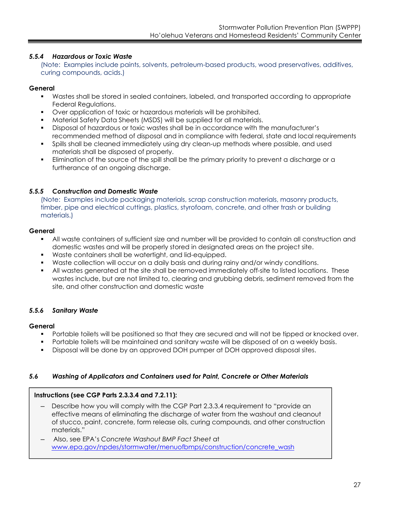## *5.5.4 Hazardous or Toxic Waste*

(Note: Examples include paints, solvents, petroleum-based products, wood preservatives, additives, curing compounds, acids.)

## **General**

- Wastes shall be stored in sealed containers, labeled, and transported according to appropriate Federal Regulations.
- Over application of toxic or hazardous materials will be prohibited.
- Material Safety Data Sheets (MSDS) will be supplied for all materials.
- Disposal of hazardous or toxic wastes shall be in accordance with the manufacturer's recommended method of disposal and in compliance with federal, state and local requirements
- Spills shall be cleaned immediately using dry clean-up methods where possible, and used materials shall be disposed of properly.
- **Elimination of the source of the spill shall be the primary priority to prevent a discharge or a** furtherance of an ongoing discharge.

## *5.5.5 Construction and Domestic Waste*

(Note: Examples include packaging materials, scrap construction materials, masonry products, timber, pipe and electrical cuttings, plastics, styrofoam, concrete, and other trash or building materials.)

## **General**

- All waste containers of sufficient size and number will be provided to contain all construction and domestic wastes and will be properly stored in designated areas on the project site.
- Waste containers shall be watertight, and lid-equipped.
- Waste collection will occur on a daily basis and during rainy and/or windy conditions.
- All wastes generated at the site shall be removed immediately off-site to listed locations. These wastes include, but are not limited to, clearing and grubbing debris, sediment removed from the site, and other construction and domestic waste

## *5.5.6 Sanitary Waste*

## **General**

- Portable toilets will be positioned so that they are secured and will not be tipped or knocked over.
- Portable toilets will be maintained and sanitary waste will be disposed of on a weekly basis.
- Disposal will be done by an approved DOH pumper at DOH approved disposal sites.

## *5.6 Washing of Applicators and Containers used for Paint, Concrete or Other Materials*

## **Instructions (see CGP Parts 2.3.3.4 and 7.2.11):**

- Describe how you will comply with the CGP Part 2.3.3.4 requirement to "provide an effective means of eliminating the discharge of water from the washout and cleanout of stucco, paint, concrete, form release oils, curing compounds, and other construction materials."
- ― Also, see EPA's *Concrete Washout BMP Fact Sheet* at www.epa.gov/npdes/stormwater/menuofbmps/construction/concrete\_wash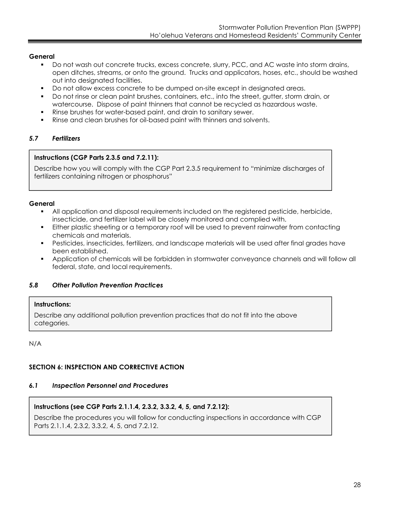### **General**

- Do not wash out concrete trucks, excess concrete, slurry, PCC, and AC waste into storm drains, open ditches, streams, or onto the ground. Trucks and applicators, hoses, etc., should be washed out into designated facilities.
- Do not allow excess concrete to be dumped on-site except in designated areas.
- Do not rinse or clean paint brushes, containers, etc., into the street, gutter, storm drain, or watercourse. Dispose of paint thinners that cannot be recycled as hazardous waste.
- Rinse brushes for water-based paint, and drain to sanitary sewer.
- Rinse and clean brushes for oil-based paint with thinners and solvents.

## *5.7 Fertilizers*

## **Instructions (CGP Parts 2.3.5 and 7.2.11):**

Describe how you will comply with the CGP Part 2.3.5 requirement to "minimize discharges of fertilizers containing nitrogen or phosphorus"

### **General**

- All application and disposal requirements included on the registered pesticide, herbicide, insecticide, and fertilizer label will be closely monitored and complied with.
- Either plastic sheeting or a temporary roof will be used to prevent rainwater from contacting chemicals and materials.
- Pesticides, insecticides, fertilizers, and landscape materials will be used after final grades have been established.
- Application of chemicals will be forbidden in stormwater conveyance channels and will follow all federal, state, and local requirements.

## *5.8 Other Pollution Prevention Practices*

### **Instructions:**

Describe any additional pollution prevention practices that do not fit into the above categories.

N/A

## **SECTION 6: INSPECTION AND CORRECTIVE ACTION**

### *6.1 Inspection Personnel and Procedures*

## **Instructions (see CGP Parts 2.1.1.4, 2.3.2, 3.3.2, 4, 5, and 7.2.12):**

Describe the procedures you will follow for conducting inspections in accordance with CGP Parts 2.1.1.4, 2.3.2, 3.3.2, 4, 5, and 7.2.12.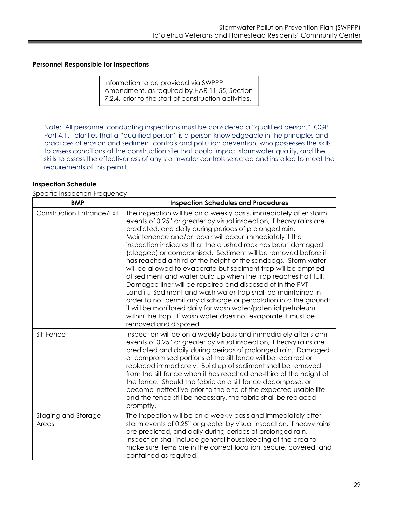### **Personnel Responsible for Inspections**

Information to be provided via SWPPP Amendment, as required by HAR 11-55, Section 7.2.4, prior to the start of construction activities.

Note: All personnel conducting inspections must be considered a "qualified person." CGP Part 4.1.1 clarifies that a "qualified person" is a person knowledgeable in the principles and practices of erosion and sediment controls and pollution prevention, who possesses the skills to assess conditions at the construction site that could impact stormwater quality, and the skills to assess the effectiveness of any stormwater controls selected and installed to meet the requirements of this permit.

### **Inspection Schedule**

Specific Inspection Frequency

| <b>BMP</b>                        | <b>Inspection Schedules and Procedures</b>                                                                                                                                                                                                                                                                                                                                                                                                                                                                                                                                                                                                                                                                                                                                                                                                                                                                                                                       |
|-----------------------------------|------------------------------------------------------------------------------------------------------------------------------------------------------------------------------------------------------------------------------------------------------------------------------------------------------------------------------------------------------------------------------------------------------------------------------------------------------------------------------------------------------------------------------------------------------------------------------------------------------------------------------------------------------------------------------------------------------------------------------------------------------------------------------------------------------------------------------------------------------------------------------------------------------------------------------------------------------------------|
| <b>Construction Entrance/Exit</b> | The inspection will be on a weekly basis, immediately after storm<br>events of 0.25" or greater by visual inspection, if heavy rains are<br>predicted, and daily during periods of prolonged rain.<br>Maintenance and/or repair will occur immediately if the<br>inspection indicates that the crushed rock has been damaged<br>(clogged) or compromised. Sediment will be removed before it<br>has reached a third of the height of the sandbags. Storm water<br>will be allowed to evaporate but sediment trap will be emptied<br>of sediment and water build up when the trap reaches half full.<br>Damaged liner will be repaired and disposed of in the PVT<br>Landfill. Sediment and wash water trap shall be maintained in<br>order to not permit any discharge or percolation into the ground;<br>it will be monitored daily for wash water/potential petroleum<br>within the trap. If wash water does not evaporate it must be<br>removed and disposed. |
| Silt Fence                        | Inspection will be on a weekly basis and immediately after storm<br>events of 0.25" or greater by visual inspection, if heavy rains are<br>predicted and daily during periods of prolonged rain. Damaged<br>or compromised portions of the silt fence will be repaired or<br>replaced immediately. Build up of sediment shall be removed<br>from the silt fence when it has reached one-third of the height of<br>the fence. Should the fabric on a silt fence decompose, or<br>become ineffective prior to the end of the expected usable life<br>and the fence still be necessary, the fabric shall be replaced<br>promptly.                                                                                                                                                                                                                                                                                                                                   |
| Staging and Storage<br>Areas      | The inspection will be on a weekly basis and immediately after<br>storm events of 0.25" or greater by visual inspection, if heavy rains<br>are predicted, and daily during periods of prolonged rain.<br>Inspection shall include general housekeeping of the area to<br>make sure items are in the correct location, secure, covered, and<br>contained as required.                                                                                                                                                                                                                                                                                                                                                                                                                                                                                                                                                                                             |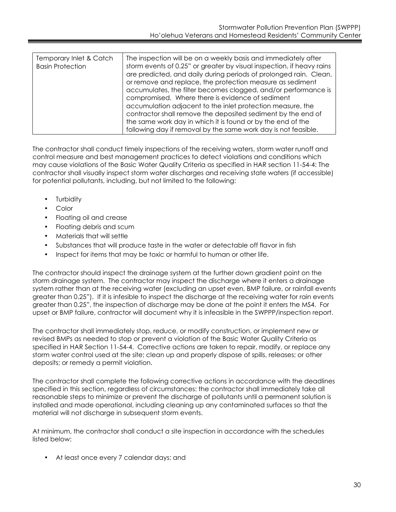| following day if removal by the same work day is not feasible. |
|----------------------------------------------------------------|
|----------------------------------------------------------------|

The contractor shall conduct timely inspections of the receiving waters, storm water runoff and control measure and best management practices to detect violations and conditions which may cause violations of the Basic Water Quality Criteria as specified in HAR section 11-54-4: The contractor shall visually inspect storm water discharges and receiving state waters (if accessible) for potential pollutants, including, but not limited to the following:

- **Turbidity**
- Color
- Floating oil and crease
- Floating debris and scum
- Materials that will settle
- Substances that will produce taste in the water or detectable off flavor in fish
- Inspect for items that may be toxic or harmful to human or other life.

The contractor should inspect the drainage system at the further down gradient point on the storm drainage system. The contractor may inspect the discharge where it enters a drainage system rather than at the receiving water (excluding an upset even, BMP failure, or rainfall events greater than 0.25"). If it is infesible to inspect the discharge at the receiving water for rain events greater than 0.25", the inspection of discharge may be done at the point it enters the MS4. For upset or BMP failure, contractor will document why it is infeasible in the SWPPP/inspection report.

The contractor shall immediately stop, reduce, or modify construction, or implement new or revised BMPs as needed to stop or prevent a violation of the Basic Water Quality Criteria as specified in HAR Section 11-54-4. Corrective actions are taken to repair, modify, or replace any storm water control used at the site; clean up and properly dispose of spills, releases; or other deposits; or remedy a permit violation.

The contractor shall complete the following corrective actions in accordance with the deadlines specified in this section, regardless of circumstances: the contractor shall immediately take all reasonable steps to minimize or prevent the discharge of pollutants until a permanent solution is installed and made operational, including cleaning up any contaminated surfaces so that the material will not discharge in subsequent storm events.

At minimum, the contractor shall conduct a site inspection in accordance with the schedules listed below:

• At least once every 7 calendar days; and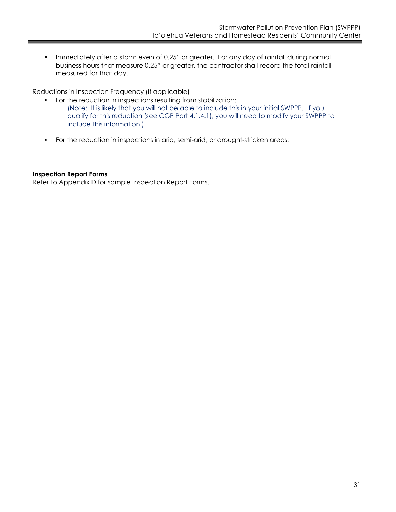• Immediately after a storm even of 0.25" or greater. For any day of rainfall during normal business hours that measure 0.25" or greater, the contractor shall record the total rainfall measured for that day.

Reductions in Inspection Frequency (if applicable)

- For the reduction in inspections resulting from stabilization: (Note: It is likely that you will not be able to include this in your initial SWPPP. If you qualify for this reduction (see CGP Part 4.1.4.1), you will need to modify your SWPPP to include this information.)
- For the reduction in inspections in arid, semi-arid, or drought-stricken areas:

### **Inspection Report Forms**

Refer to Appendix D for sample Inspection Report Forms.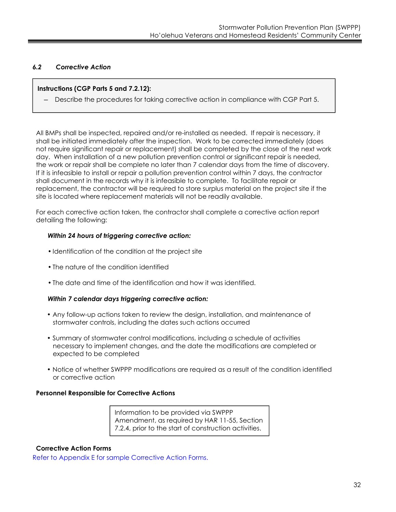### *6.2 Corrective Action*

### **Instructions (CGP Parts 5 and 7.2.12):**

― Describe the procedures for taking corrective action in compliance with CGP Part 5.

All BMPs shall be inspected, repaired and/or re-installed as needed. If repair is necessary, it shall be initiated immediately after the inspection. Work to be corrected immediately (does not require significant repair or replacement) shall be completed by the close of the next work day. When installation of a new pollution prevention control or significant repair is needed, the work or repair shall be complete no later than 7 calendar days from the time of discovery. If it is infeasible to install or repair a pollution prevention control within 7 days, the contractor shall document in the records why it is infeasible to complete. To facilitate repair or replacement, the contractor will be required to store surplus material on the project site if the site is located where replacement materials will not be readily available.

For each corrective action taken, the contractor shall complete a corrective action report detailing the following:

#### *Within 24 hours of triggering corrective action:*

- Identification of the condition at the project site
- The nature of the condition identified
- The date and time of the identification and how it was identified.

#### *Within 7 calendar days triggering corrective action:*

- Any follow-up actions taken to review the design, installation, and maintenance of stormwater controls, including the dates such actions occurred
- Summary of stormwater control modifications, including a schedule of activities necessary to implement changes, and the date the modifications are completed or expected to be completed
- Notice of whether SWPPP modifications are required as a result of the condition identified or corrective action

### **Personnel Responsible for Corrective Actions**

Information to be provided via SWPPP Amendment, as required by HAR 11-55, Section 7.2.4, prior to the start of construction activities.

#### **Corrective Action Forms**

Refer to Appendix E for sample Corrective Action Forms.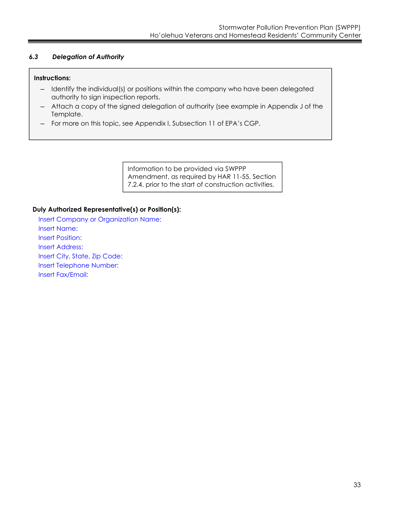### *6.3 Delegation of Authority*

### **Instructions:**

- ― Identify the individual(s) or positions within the company who have been delegated authority to sign inspection reports.
- ― Attach a copy of the signed delegation of authority (see example in Appendix J of the Template.
- ― For more on this topic, see Appendix I, Subsection 11 of EPA's CGP.

Information to be provided via SWPPP Amendment, as required by HAR 11-55, Section 7.2.4, prior to the start of construction activities.

### **Duly Authorized Representative(s) or Position(s):**

Insert Company or Organization Name: Insert Name: Insert Position: Insert Address: Insert City, State, Zip Code: Insert Telephone Number: Insert Fax/Email: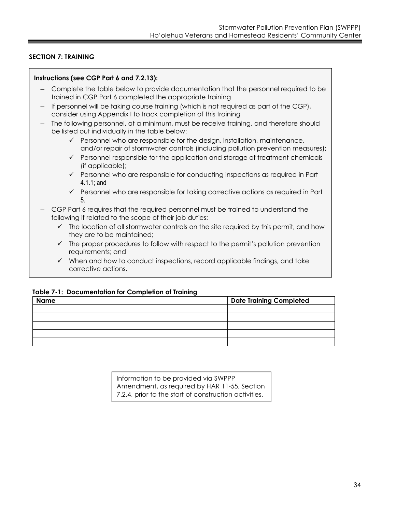## **SECTION 7: TRAINING**

### **Instructions (see CGP Part 6 and 7.2.13):**

- ― Complete the table below to provide documentation that the personnel required to be trained in CGP Part 6 completed the appropriate training
- If personnel will be taking course training (which is not required as part of the CGP), consider using Appendix I to track completion of this training
- The following personnel, at a minimum, must be receive training, and therefore should be listed out individually in the table below:
	- $\checkmark$  Personnel who are responsible for the design, installation, maintenance, and/or repair of stormwater controls (including pollution prevention measures);
	- $\checkmark$  Personnel responsible for the application and storage of treatment chemicals (if applicable);
	- $\checkmark$  Personnel who are responsible for conducting inspections as required in Part 4.1.1; and
	- $\checkmark$  Personnel who are responsible for taking corrective actions as required in Part 5.
- CGP Part 6 requires that the required personnel must be trained to understand the following if related to the scope of their job duties:
	- $\checkmark$  The location of all stormwater controls on the site required by this permit, and how they are to be maintained;
	- $\checkmark$  The proper procedures to follow with respect to the permit's pollution prevention requirements; and
	- $\checkmark$  When and how to conduct inspections, record applicable findings, and take corrective actions.

### **Table 7-1: Documentation for Completion of Training**

| <b>Name</b> | <b>Date Training Completed</b> |
|-------------|--------------------------------|
|             |                                |
|             |                                |
|             |                                |
|             |                                |
|             |                                |

Information to be provided via SWPPP Amendment, as required by HAR 11-55, Section 7.2.4, prior to the start of construction activities.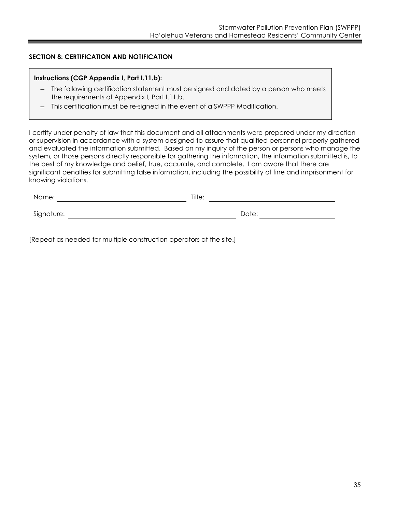### **SECTION 8: CERTIFICATION AND NOTIFICATION**

### **Instructions (CGP Appendix I, Part I.11.b):**

- ― The following certification statement must be signed and dated by a person who meets the requirements of Appendix I, Part I.11.b.
- This certification must be re-signed in the event of a SWPPP Modification.

I certify under penalty of law that this document and all attachments were prepared under my direction or supervision in accordance with a system designed to assure that qualified personnel properly gathered and evaluated the information submitted. Based on my inquiry of the person or persons who manage the system, or those persons directly responsible for gathering the information, the information submitted is, to the best of my knowledge and belief, true, accurate, and complete. I am aware that there are significant penalties for submitting false information, including the possibility of fine and imprisonment for knowing violations.

| Name:      | Title: |
|------------|--------|
| Signature: | Date:  |

[Repeat as needed for multiple construction operators at the site.]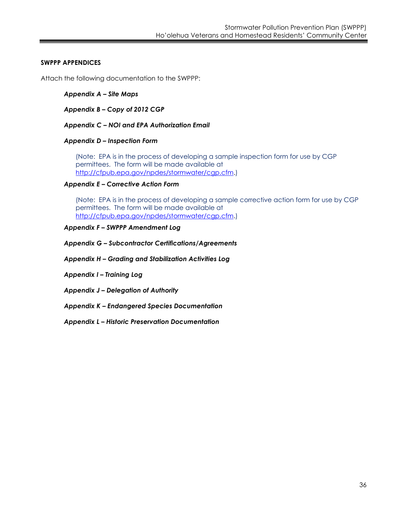### **SWPPP APPENDICES**

Attach the following documentation to the SWPPP:

*Appendix A – Site Maps* 

*Appendix B – Copy of 2012 CGP* 

*Appendix C – NOI and EPA Authorization Email* 

### *Appendix D – Inspection Form*

(Note: EPA is in the process of developing a sample inspection form for use by CGP permittees. The form will be made available at http://cfpub.epa.gov/npdes/stormwater/cgp.cfm.)

### *Appendix E – Corrective Action Form*

(Note: EPA is in the process of developing a sample corrective action form for use by CGP permittees. The form will be made available at http://cfpub.epa.gov/npdes/stormwater/cgp.cfm.)

### *Appendix F – SWPPP Amendment Log*

*Appendix G – Subcontractor Certifications/Agreements* 

*Appendix H – Grading and Stabilization Activities Log* 

*Appendix I – Training Log* 

*Appendix J – Delegation of Authority* 

*Appendix K – Endangered Species Documentation* 

*Appendix L – Historic Preservation Documentation*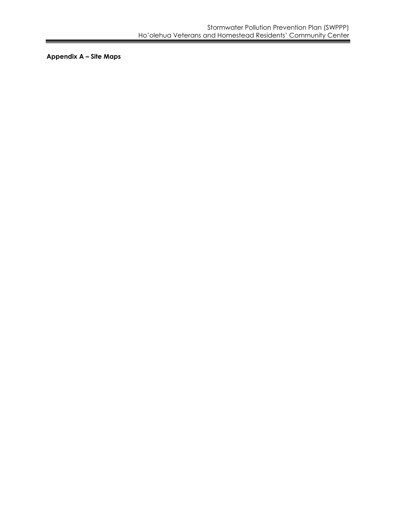**Appendix A – Site Maps**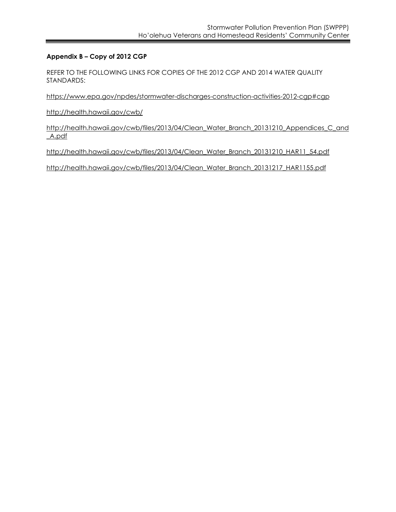## **Appendix B – Copy of 2012 CGP**

REFER TO THE FOLLOWING LINKS FOR COPIES OF THE 2012 CGP AND 2014 WATER QUALITY STANDARDS:

https://www.epa.gov/npdes/stormwater-discharges-construction-activities-2012-cgp#cgp

http://health.hawaii.gov/cwb/

http://health.hawaii.gov/cwb/files/2013/04/Clean\_Water\_Branch\_20131210\_Appendices\_C\_and \_A.pdf

http://health.hawaii.gov/cwb/files/2013/04/Clean\_Water\_Branch\_20131210\_HAR11\_54.pdf

http://health.hawaii.gov/cwb/files/2013/04/Clean\_Water\_Branch\_20131217\_HAR1155.pdf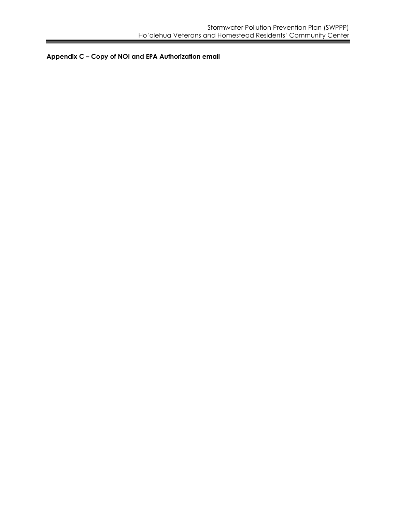**Appendix C – Copy of NOI and EPA Authorization email**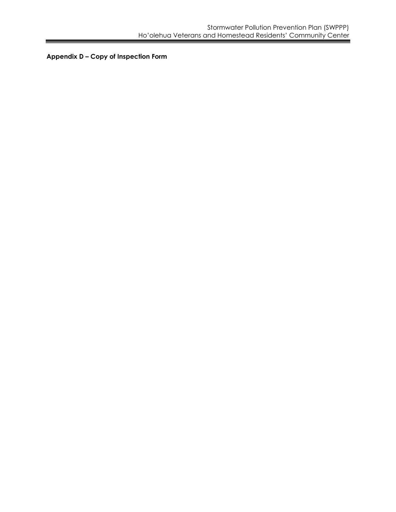**Appendix D – Copy of Inspection Form**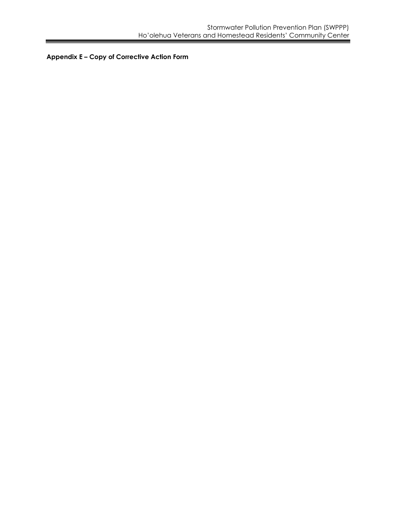**Appendix E – Copy of Corrective Action Form**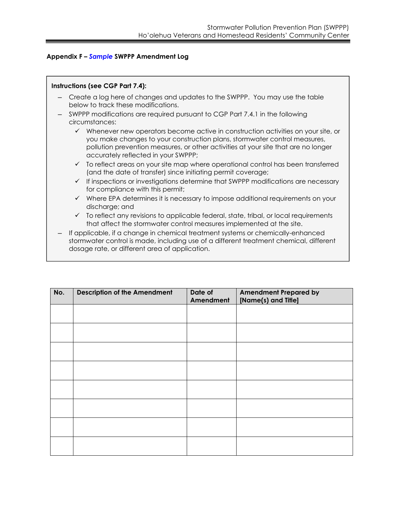### **Appendix F –** *Sample* **SWPPP Amendment Log**

### **Instructions (see CGP Part 7.4):**

- ― Create a log here of changes and updates to the SWPPP. You may use the table below to track these modifications.
- ― SWPPP modifications are required pursuant to CGP Part 7.4.1 in the following circumstances:
	- $\checkmark$  Whenever new operators become active in construction activities on your site, or you make changes to your construction plans, stormwater control measures, pollution prevention measures, or other activities at your site that are no longer accurately reflected in your SWPPP;
	- $\checkmark$  To reflect areas on your site map where operational control has been transferred (and the date of transfer) since initiating permit coverage;
	- $\checkmark$  If inspections or investigations determine that SWPPP modifications are necessary for compliance with this permit;
	- $\checkmark$  Where EPA determines it is necessary to impose additional requirements on your discharge; and
	- $\checkmark$  To reflect any revisions to applicable federal, state, tribal, or local requirements that affect the stormwater control measures implemented at the site.
- ― If applicable, if a change in chemical treatment systems or chemically-enhanced stormwater control is made, including use of a different treatment chemical, different dosage rate, or different area of application.

| No. | <b>Description of the Amendment</b> | Date of<br>Amendment | <b>Amendment Prepared by</b><br>[Name(s) and Title] |
|-----|-------------------------------------|----------------------|-----------------------------------------------------|
|     |                                     |                      |                                                     |
|     |                                     |                      |                                                     |
|     |                                     |                      |                                                     |
|     |                                     |                      |                                                     |
|     |                                     |                      |                                                     |
|     |                                     |                      |                                                     |
|     |                                     |                      |                                                     |
|     |                                     |                      |                                                     |
|     |                                     |                      |                                                     |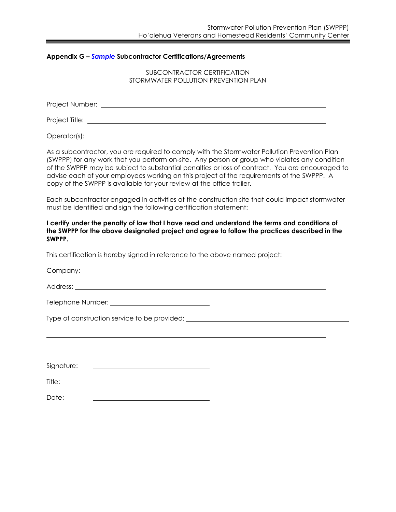#### **Appendix G –** *Sample* **Subcontractor Certifications/Agreements**

SUBCONTRACTOR CERTIFICATION STORMWATER POLLUTION PREVENTION PLAN

| Project Number: |                                               |  |
|-----------------|-----------------------------------------------|--|
|                 | Project Title: <u>_______________________</u> |  |
| Operator(s):    |                                               |  |

As a subcontractor, you are required to comply with the Stormwater Pollution Prevention Plan (SWPPP) for any work that you perform on-site. Any person or group who violates any condition of the SWPPP may be subject to substantial penalties or loss of contract. You are encouraged to advise each of your employees working on this project of the requirements of the SWPPP. A copy of the SWPPP is available for your review at the office trailer.

Each subcontractor engaged in activities at the construction site that could impact stormwater must be identified and sign the following certification statement:

**I certify under the penalty of law that I have read and understand the terms and conditions of the SWPPP for the above designated project and agree to follow the practices described in the SWPPP.** 

This certification is hereby signed in reference to the above named project:

Company: <u>company:</u>

Address: <u>Quarter and Communications and Communications and Communications and Communications and Communications and Communications and Communications and Communications and Communications and Communications and Communicat</u>

Telephone Number: University of the University of Telephone Number:

Type of construction service to be provided:

Signature:

Title:

Date: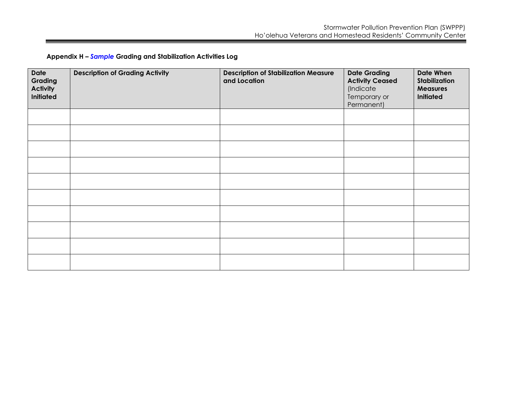**Appendix H –** *Sample* **Grading and Stabilization Activities Log** 

| <b>Date</b><br>Grading<br><b>Activity</b><br>Initiated | <b>Description of Grading Activity</b> | <b>Description of Stabilization Measure</b><br>and Location | <b>Date Grading</b><br><b>Activity Ceased</b><br>(Indicate<br>Temporary or<br>Permanent) | <b>Date When</b><br>Stabilization<br><b>Measures</b><br><b>Initiated</b> |
|--------------------------------------------------------|----------------------------------------|-------------------------------------------------------------|------------------------------------------------------------------------------------------|--------------------------------------------------------------------------|
|                                                        |                                        |                                                             |                                                                                          |                                                                          |
|                                                        |                                        |                                                             |                                                                                          |                                                                          |
|                                                        |                                        |                                                             |                                                                                          |                                                                          |
|                                                        |                                        |                                                             |                                                                                          |                                                                          |
|                                                        |                                        |                                                             |                                                                                          |                                                                          |
|                                                        |                                        |                                                             |                                                                                          |                                                                          |
|                                                        |                                        |                                                             |                                                                                          |                                                                          |
|                                                        |                                        |                                                             |                                                                                          |                                                                          |
|                                                        |                                        |                                                             |                                                                                          |                                                                          |
|                                                        |                                        |                                                             |                                                                                          |                                                                          |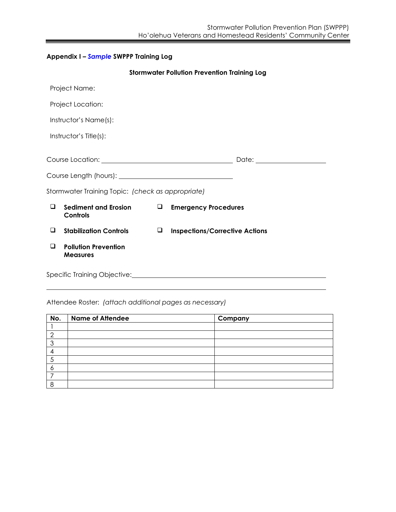## **Appendix I –** *Sample* **SWPPP Training Log**

|   |                                                   |        | <b>Stormwater Pollution Prevention Training Log</b>                                                     |
|---|---------------------------------------------------|--------|---------------------------------------------------------------------------------------------------------|
|   | Project Name:                                     |        |                                                                                                         |
|   | Project Location:                                 |        |                                                                                                         |
|   | Instructor's Name(s):                             |        |                                                                                                         |
|   | Instructor's Title(s):                            |        |                                                                                                         |
|   |                                                   |        | Date: ________________________                                                                          |
|   |                                                   |        |                                                                                                         |
|   | Stormwater Training Topic: (check as appropriate) |        |                                                                                                         |
| □ | Sediment and Erosion<br>Controls                  | $\Box$ | <b>Emergency Procedures</b>                                                                             |
| □ | <b>Stabilization Controls</b>                     | ❏      | <b>Inspections/Corrective Actions</b>                                                                   |
| □ | <b>Pollution Prevention</b><br><b>Measures</b>    |        |                                                                                                         |
|   |                                                   |        | Specific Training Objective: Management of the Contract of the Contract of Specific Training Objective: |

Attendee Roster: *(attach additional pages as necessary)* 

| No. | <b>Name of Attendee</b> | Company |
|-----|-------------------------|---------|
|     |                         |         |
| ◠   |                         |         |
| ◠   |                         |         |
|     |                         |         |
|     |                         |         |
|     |                         |         |
|     |                         |         |
| ୟ   |                         |         |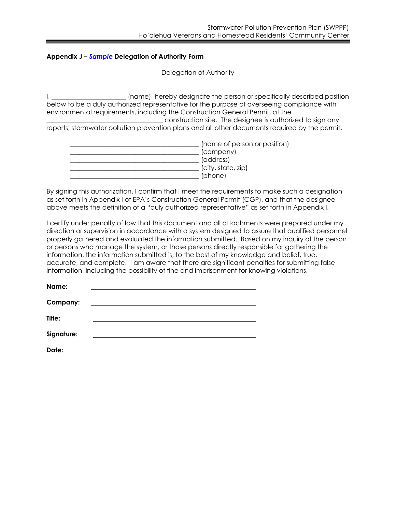### **Appendix J –** *Sample* **Delegation of Authority Form**

Delegation of Authority

I, \_\_\_\_\_\_\_\_\_\_\_\_\_\_\_\_\_\_\_\_\_\_\_\_(name), hereby designate the person or specifically described position below to be a duly authorized representative for the purpose of overseeing compliance with environmental requirements, including the Construction General Permit, at the \_\_\_\_\_\_\_\_\_\_\_\_\_\_\_\_\_\_\_\_\_\_\_\_\_\_\_\_\_\_\_\_\_\_\_\_ construction site. The designee is authorized to sign any

reports, stormwater pollution prevention plans and all other documents required by the permit.

| (name of person or position) |
|------------------------------|
| (company)                    |
| (address)                    |
| (city, state, zip)           |
| (phone)                      |

By signing this authorization, I confirm that I meet the requirements to make such a designation as set forth in Appendix I of EPA's Construction General Permit (CGP), and that the designee above meets the definition of a "duly authorized representative" as set forth in Appendix I.

I certify under penalty of law that this document and all attachments were prepared under my direction or supervision in accordance with a system designed to assure that qualified personnel properly gathered and evaluated the information submitted. Based on my inquiry of the person or persons who manage the system, or those persons directly responsible for gathering the information, the information submitted is, to the best of my knowledge and belief, true, accurate, and complete. I am aware that there are significant penalties for submitting false information, including the possibility of fine and imprisonment for knowing violations.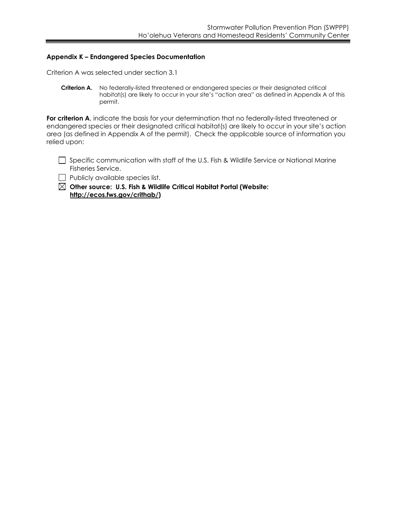### **Appendix K – Endangered Species Documentation**

Criterion A was selected under section 3.1

**Criterion A.** No federally-listed threatened or endangered species or their designated critical habitat(s) are likely to occur in your site's "action area" as defined in Appendix A of this permit.

For criterion A, indicate the basis for your determination that no federally-listed threatened or endangered species or their designated critical habitat(s) are likely to occur in your site's action area (as defined in Appendix A of the permit). Check the applicable source of information you relied upon:

 $\Box$  Specific communication with staff of the U.S. Fish & Wildlife Service or National Marine Fisheries Service.

 $\Box$  Publicly available species list.

 **Other source: U.S. Fish & Wildlife Critical Habitat Portal (Website: http://ecos.fws.gov/crithab/)**